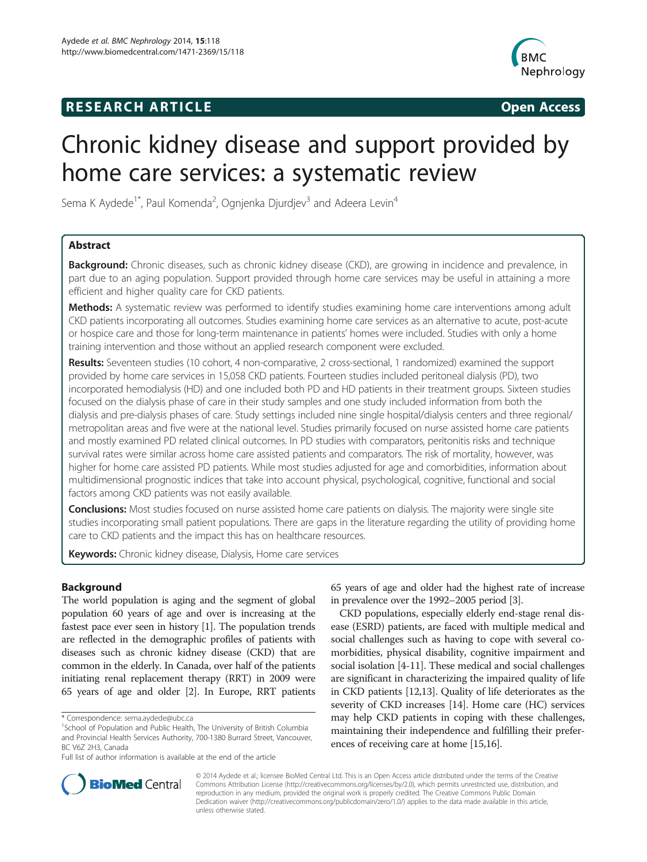## **RESEARCH ARTICLE Example 2014 CONSIDERING CONSIDERING CONSIDERING CONSIDERING CONSIDERING CONSIDERING CONSIDERING CONSIDERING CONSIDERING CONSIDERING CONSIDERING CONSIDERING CONSIDERING CONSIDERING CONSIDERING CONSIDE**



# Chronic kidney disease and support provided by home care services: a systematic review

Sema K Aydede $^{\text{+}}$ , Paul Komenda $^{\text{2}}$ , Ognjenka Djurdjev $^{\text{3}}$  and Adeera Levin $^{\text{4}}$ 

## Abstract

Background: Chronic diseases, such as chronic kidney disease (CKD), are growing in incidence and prevalence, in part due to an aging population. Support provided through home care services may be useful in attaining a more efficient and higher quality care for CKD patients.

Methods: A systematic review was performed to identify studies examining home care interventions among adult CKD patients incorporating all outcomes. Studies examining home care services as an alternative to acute, post-acute or hospice care and those for long-term maintenance in patients' homes were included. Studies with only a home training intervention and those without an applied research component were excluded.

Results: Seventeen studies (10 cohort, 4 non-comparative, 2 cross-sectional, 1 randomized) examined the support provided by home care services in 15,058 CKD patients. Fourteen studies included peritoneal dialysis (PD), two incorporated hemodialysis (HD) and one included both PD and HD patients in their treatment groups. Sixteen studies focused on the dialysis phase of care in their study samples and one study included information from both the dialysis and pre-dialysis phases of care. Study settings included nine single hospital/dialysis centers and three regional/ metropolitan areas and five were at the national level. Studies primarily focused on nurse assisted home care patients and mostly examined PD related clinical outcomes. In PD studies with comparators, peritonitis risks and technique survival rates were similar across home care assisted patients and comparators. The risk of mortality, however, was higher for home care assisted PD patients. While most studies adjusted for age and comorbidities, information about multidimensional prognostic indices that take into account physical, psychological, cognitive, functional and social factors among CKD patients was not easily available.

Conclusions: Most studies focused on nurse assisted home care patients on dialysis. The majority were single site studies incorporating small patient populations. There are gaps in the literature regarding the utility of providing home care to CKD patients and the impact this has on healthcare resources.

Keywords: Chronic kidney disease, Dialysis, Home care services

## Background

The world population is aging and the segment of global population 60 years of age and over is increasing at the fastest pace ever seen in history [[1](#page-16-0)]. The population trends are reflected in the demographic profiles of patients with diseases such as chronic kidney disease (CKD) that are common in the elderly. In Canada, over half of the patients initiating renal replacement therapy (RRT) in 2009 were 65 years of age and older [[2](#page-16-0)]. In Europe, RRT patients

65 years of age and older had the highest rate of increase in prevalence over the 1992–2005 period [\[3\]](#page-16-0).

CKD populations, especially elderly end-stage renal disease (ESRD) patients, are faced with multiple medical and social challenges such as having to cope with several comorbidities, physical disability, cognitive impairment and social isolation [\[4](#page-16-0)-[11](#page-16-0)]. These medical and social challenges are significant in characterizing the impaired quality of life in CKD patients [\[12,13\]](#page-16-0). Quality of life deteriorates as the severity of CKD increases [\[14](#page-16-0)]. Home care (HC) services may help CKD patients in coping with these challenges, maintaining their independence and fulfilling their preferences of receiving care at home [[15](#page-16-0),[16](#page-16-0)].



© 2014 Aydede et al.; licensee BioMed Central Ltd. This is an Open Access article distributed under the terms of the Creative Commons Attribution License [\(http://creativecommons.org/licenses/by/2.0\)](http://creativecommons.org/licenses/by/2.0), which permits unrestricted use, distribution, and reproduction in any medium, provided the original work is properly credited. The Creative Commons Public Domain Dedication waiver [\(http://creativecommons.org/publicdomain/zero/1.0/](http://creativecommons.org/publicdomain/zero/1.0/)) applies to the data made available in this article, unless otherwise stated.

<sup>\*</sup> Correspondence: [sema.aydede@ubc.ca](mailto:sema.aydede@ubc.ca) <sup>1</sup>

<sup>&</sup>lt;sup>1</sup>School of Population and Public Health, The University of British Columbia and Provincial Health Services Authority, 700-1380 Burrard Street, Vancouver, BC V6Z 2H3, Canada

Full list of author information is available at the end of the article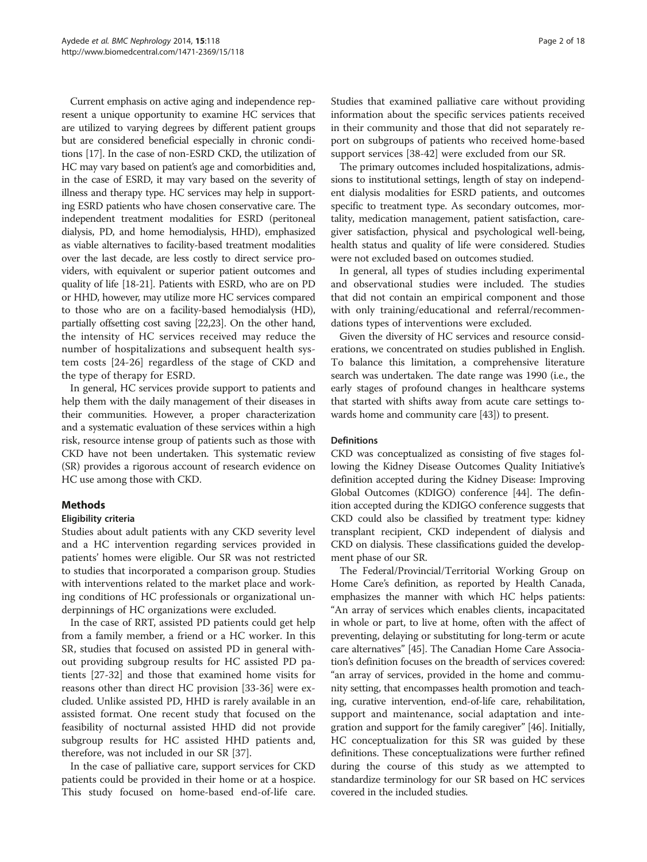Current emphasis on active aging and independence represent a unique opportunity to examine HC services that are utilized to varying degrees by different patient groups but are considered beneficial especially in chronic conditions [[17](#page-16-0)]. In the case of non-ESRD CKD, the utilization of HC may vary based on patient's age and comorbidities and, in the case of ESRD, it may vary based on the severity of illness and therapy type. HC services may help in supporting ESRD patients who have chosen conservative care. The independent treatment modalities for ESRD (peritoneal dialysis, PD, and home hemodialysis, HHD), emphasized as viable alternatives to facility-based treatment modalities over the last decade, are less costly to direct service providers, with equivalent or superior patient outcomes and quality of life [\[18-21\]](#page-16-0). Patients with ESRD, who are on PD or HHD, however, may utilize more HC services compared to those who are on a facility-based hemodialysis (HD), partially offsetting cost saving [\[22,23](#page-16-0)]. On the other hand, the intensity of HC services received may reduce the number of hospitalizations and subsequent health system costs [\[24](#page-16-0)-[26](#page-16-0)] regardless of the stage of CKD and the type of therapy for ESRD.

In general, HC services provide support to patients and help them with the daily management of their diseases in their communities. However, a proper characterization and a systematic evaluation of these services within a high risk, resource intense group of patients such as those with CKD have not been undertaken. This systematic review (SR) provides a rigorous account of research evidence on HC use among those with CKD.

## Methods

## Eligibility criteria

Studies about adult patients with any CKD severity level and a HC intervention regarding services provided in patients' homes were eligible. Our SR was not restricted to studies that incorporated a comparison group. Studies with interventions related to the market place and working conditions of HC professionals or organizational underpinnings of HC organizations were excluded.

In the case of RRT, assisted PD patients could get help from a family member, a friend or a HC worker. In this SR, studies that focused on assisted PD in general without providing subgroup results for HC assisted PD patients [[27-32\]](#page-16-0) and those that examined home visits for reasons other than direct HC provision [[33](#page-16-0)-[36\]](#page-16-0) were excluded. Unlike assisted PD, HHD is rarely available in an assisted format. One recent study that focused on the feasibility of nocturnal assisted HHD did not provide subgroup results for HC assisted HHD patients and, therefore, was not included in our SR [[37](#page-16-0)].

In the case of palliative care, support services for CKD patients could be provided in their home or at a hospice. This study focused on home-based end-of-life care.

Studies that examined palliative care without providing information about the specific services patients received in their community and those that did not separately report on subgroups of patients who received home-based support services [\[38-](#page-16-0)[42](#page-17-0)] were excluded from our SR.

The primary outcomes included hospitalizations, admissions to institutional settings, length of stay on independent dialysis modalities for ESRD patients, and outcomes specific to treatment type. As secondary outcomes, mortality, medication management, patient satisfaction, caregiver satisfaction, physical and psychological well-being, health status and quality of life were considered. Studies were not excluded based on outcomes studied.

In general, all types of studies including experimental and observational studies were included. The studies that did not contain an empirical component and those with only training/educational and referral/recommendations types of interventions were excluded.

Given the diversity of HC services and resource considerations, we concentrated on studies published in English. To balance this limitation, a comprehensive literature search was undertaken. The date range was 1990 (i.e., the early stages of profound changes in healthcare systems that started with shifts away from acute care settings towards home and community care [\[43\]](#page-17-0)) to present.

## Definitions

CKD was conceptualized as consisting of five stages following the Kidney Disease Outcomes Quality Initiative's definition accepted during the Kidney Disease: Improving Global Outcomes (KDIGO) conference [\[44\]](#page-17-0). The definition accepted during the KDIGO conference suggests that CKD could also be classified by treatment type: kidney transplant recipient, CKD independent of dialysis and CKD on dialysis. These classifications guided the development phase of our SR.

The Federal/Provincial/Territorial Working Group on Home Care's definition, as reported by Health Canada, emphasizes the manner with which HC helps patients: "An array of services which enables clients, incapacitated in whole or part, to live at home, often with the affect of preventing, delaying or substituting for long-term or acute care alternatives" [[45](#page-17-0)]. The Canadian Home Care Association's definition focuses on the breadth of services covered: "an array of services, provided in the home and community setting, that encompasses health promotion and teaching, curative intervention, end-of-life care, rehabilitation, support and maintenance, social adaptation and integration and support for the family caregiver" [\[46\]](#page-17-0). Initially, HC conceptualization for this SR was guided by these definitions. These conceptualizations were further refined during the course of this study as we attempted to standardize terminology for our SR based on HC services covered in the included studies.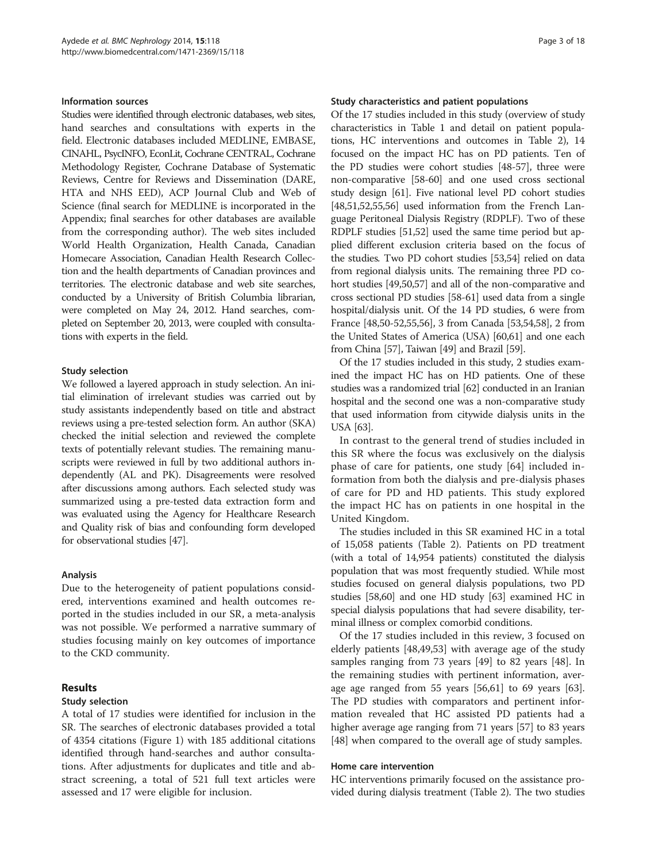## Information sources

Studies were identified through electronic databases, web sites, hand searches and consultations with experts in the field. Electronic databases included MEDLINE, EMBASE, CINAHL, PsycINFO, EconLit, Cochrane CENTRAL, Cochrane Methodology Register, Cochrane Database of Systematic Reviews, Centre for Reviews and Dissemination (DARE, HTA and NHS EED), ACP Journal Club and Web of Science (final search for MEDLINE is incorporated in the [Appendix;](#page-15-0) final searches for other databases are available from the corresponding author). The web sites included World Health Organization, Health Canada, Canadian Homecare Association, Canadian Health Research Collection and the health departments of Canadian provinces and territories. The electronic database and web site searches, conducted by a University of British Columbia librarian, were completed on May 24, 2012. Hand searches, completed on September 20, 2013, were coupled with consultations with experts in the field.

## Study selection

We followed a layered approach in study selection. An initial elimination of irrelevant studies was carried out by study assistants independently based on title and abstract reviews using a pre-tested selection form. An author (SKA) checked the initial selection and reviewed the complete texts of potentially relevant studies. The remaining manuscripts were reviewed in full by two additional authors independently (AL and PK). Disagreements were resolved after discussions among authors. Each selected study was summarized using a pre-tested data extraction form and was evaluated using the Agency for Healthcare Research and Quality risk of bias and confounding form developed for observational studies [[47](#page-17-0)].

## Analysis

Due to the heterogeneity of patient populations considered, interventions examined and health outcomes reported in the studies included in our SR, a meta-analysis was not possible. We performed a narrative summary of studies focusing mainly on key outcomes of importance to the CKD community.

## Results

## Study selection

A total of 17 studies were identified for inclusion in the SR. The searches of electronic databases provided a total of 4354 citations (Figure [1](#page-3-0)) with 185 additional citations identified through hand-searches and author consultations. After adjustments for duplicates and title and abstract screening, a total of 521 full text articles were assessed and 17 were eligible for inclusion.

#### Study characteristics and patient populations

Of the 17 studies included in this study (overview of study characteristics in Table [1](#page-4-0) and detail on patient populations, HC interventions and outcomes in Table [2](#page-5-0)), 14 focused on the impact HC has on PD patients. Ten of the PD studies were cohort studies [[48](#page-17-0)-[57](#page-17-0)], three were non-comparative [[58](#page-17-0)-[60](#page-17-0)] and one used cross sectional study design [[61](#page-17-0)]. Five national level PD cohort studies [[48](#page-17-0),[51,52,55,56](#page-17-0)] used information from the French Language Peritoneal Dialysis Registry (RDPLF). Two of these RDPLF studies [[51,52\]](#page-17-0) used the same time period but applied different exclusion criteria based on the focus of the studies. Two PD cohort studies [[53,54](#page-17-0)] relied on data from regional dialysis units. The remaining three PD co-hort studies [\[49,50,57](#page-17-0)] and all of the non-comparative and cross sectional PD studies [\[58](#page-17-0)-[61](#page-17-0)] used data from a single hospital/dialysis unit. Of the 14 PD studies, 6 were from France [[48,50-52,55,56\]](#page-17-0), 3 from Canada [\[53,54,58](#page-17-0)], 2 from the United States of America (USA) [\[60,61](#page-17-0)] and one each from China [\[57](#page-17-0)], Taiwan [[49](#page-17-0)] and Brazil [\[59\]](#page-17-0).

Of the 17 studies included in this study, 2 studies examined the impact HC has on HD patients. One of these studies was a randomized trial [\[62\]](#page-17-0) conducted in an Iranian hospital and the second one was a non-comparative study that used information from citywide dialysis units in the USA [\[63\]](#page-17-0).

In contrast to the general trend of studies included in this SR where the focus was exclusively on the dialysis phase of care for patients, one study [[64\]](#page-17-0) included information from both the dialysis and pre-dialysis phases of care for PD and HD patients. This study explored the impact HC has on patients in one hospital in the United Kingdom.

The studies included in this SR examined HC in a total of 15,058 patients (Table [2\)](#page-5-0). Patients on PD treatment (with a total of 14,954 patients) constituted the dialysis population that was most frequently studied. While most studies focused on general dialysis populations, two PD studies [[58,60\]](#page-17-0) and one HD study [\[63\]](#page-17-0) examined HC in special dialysis populations that had severe disability, terminal illness or complex comorbid conditions.

Of the 17 studies included in this review, 3 focused on elderly patients [[48,49,53\]](#page-17-0) with average age of the study samples ranging from 73 years [[49](#page-17-0)] to 82 years [[48\]](#page-17-0). In the remaining studies with pertinent information, average age ranged from 55 years [\[56,61\]](#page-17-0) to 69 years [\[63](#page-17-0)]. The PD studies with comparators and pertinent information revealed that HC assisted PD patients had a higher average age ranging from 71 years [\[57](#page-17-0)] to 83 years [[48\]](#page-17-0) when compared to the overall age of study samples.

#### Home care intervention

HC interventions primarily focused on the assistance provided during dialysis treatment (Table [2\)](#page-5-0). The two studies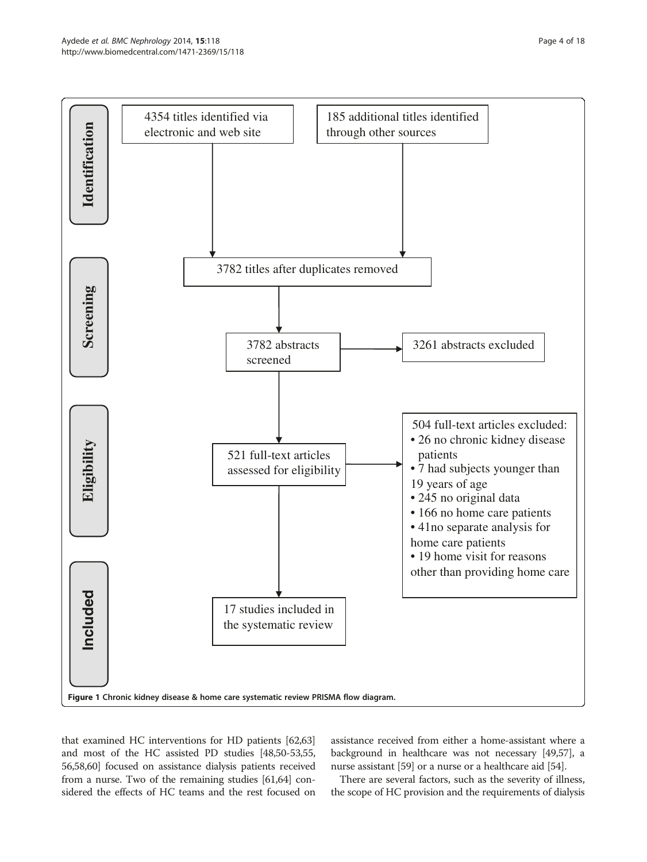<span id="page-3-0"></span>

that examined HC interventions for HD patients [\[62,63](#page-17-0)] and most of the HC assisted PD studies [\[48,50-53,55](#page-17-0), [56,58,60\]](#page-17-0) focused on assistance dialysis patients received from a nurse. Two of the remaining studies [\[61,64](#page-17-0)] considered the effects of HC teams and the rest focused on assistance received from either a home-assistant where a background in healthcare was not necessary [\[49,57\]](#page-17-0), a nurse assistant [\[59\]](#page-17-0) or a nurse or a healthcare aid [\[54\]](#page-17-0).

There are several factors, such as the severity of illness, the scope of HC provision and the requirements of dialysis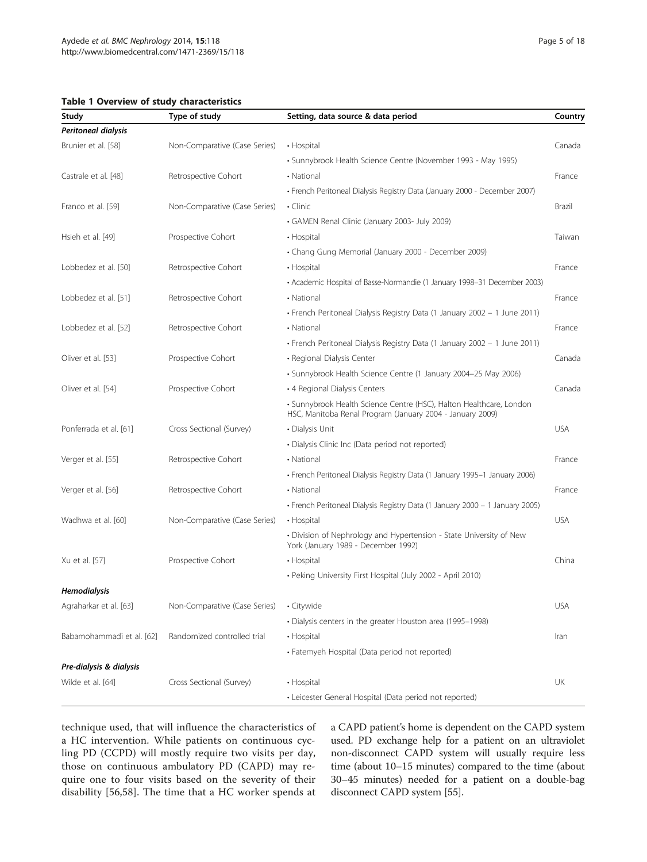## <span id="page-4-0"></span>Table 1 Overview of study characteristics

| Study                     | Type of study                 | Setting, data source & data period                                                                                               | Country    |
|---------------------------|-------------------------------|----------------------------------------------------------------------------------------------------------------------------------|------------|
| Peritoneal dialysis       |                               |                                                                                                                                  |            |
| Brunier et al. [58]       | Non-Comparative (Case Series) | • Hospital                                                                                                                       | Canada     |
|                           |                               | · Sunnybrook Health Science Centre (November 1993 - May 1995)                                                                    |            |
| Castrale et al. [48]      | Retrospective Cohort          | • National                                                                                                                       | France     |
|                           |                               | • French Peritoneal Dialysis Registry Data (January 2000 - December 2007)                                                        |            |
| Franco et al. [59]        | Non-Comparative (Case Series) | • Clinic                                                                                                                         | Brazil     |
|                           |                               | • GAMEN Renal Clinic (January 2003- July 2009)                                                                                   |            |
| Hsieh et al. [49]         | Prospective Cohort            | $\cdot$ Hospital                                                                                                                 | Taiwan     |
|                           |                               | • Chang Gung Memorial (January 2000 - December 2009)                                                                             |            |
| Lobbedez et al. [50]      | Retrospective Cohort          | • Hospital                                                                                                                       | France     |
|                           |                               | • Academic Hospital of Basse-Normandie (1 January 1998-31 December 2003)                                                         |            |
| Lobbedez et al. [51]      | Retrospective Cohort          | • National                                                                                                                       | France     |
|                           |                               | • French Peritoneal Dialysis Registry Data (1 January 2002 - 1 June 2011)                                                        |            |
| Lobbedez et al. [52]      | Retrospective Cohort          | • National                                                                                                                       | France     |
|                           |                               | • French Peritoneal Dialysis Registry Data (1 January 2002 - 1 June 2011)                                                        |            |
| Oliver et al. [53]        | Prospective Cohort            | • Regional Dialysis Center                                                                                                       | Canada     |
|                           |                               | · Sunnybrook Health Science Centre (1 January 2004-25 May 2006)                                                                  |            |
| Oliver et al. [54]        | Prospective Cohort            | • 4 Regional Dialysis Centers                                                                                                    | Canada     |
|                           |                               | • Sunnybrook Health Science Centre (HSC), Halton Healthcare, London<br>HSC, Manitoba Renal Program (January 2004 - January 2009) |            |
| Ponferrada et al. [61]    | Cross Sectional (Survey)      | • Dialysis Unit                                                                                                                  | <b>USA</b> |
|                           |                               | • Dialysis Clinic Inc (Data period not reported)                                                                                 |            |
| Verger et al. [55]        | Retrospective Cohort          | • National                                                                                                                       | France     |
|                           |                               | · French Peritoneal Dialysis Registry Data (1 January 1995-1 January 2006)                                                       |            |
| Verger et al. [56]        | Retrospective Cohort          | • National                                                                                                                       | France     |
|                           |                               | • French Peritoneal Dialysis Registry Data (1 January 2000 - 1 January 2005)                                                     |            |
| Wadhwa et al. [60]        | Non-Comparative (Case Series) | • Hospital                                                                                                                       | <b>USA</b> |
|                           |                               | • Division of Nephrology and Hypertension - State University of New<br>York (January 1989 - December 1992)                       |            |
| Xu et al. [57]            | Prospective Cohort            | $\cdot$ Hospital                                                                                                                 | China      |
|                           |                               | • Peking University First Hospital (July 2002 - April 2010)                                                                      |            |
| <b>Hemodialysis</b>       |                               |                                                                                                                                  |            |
| Agraharkar et al. [63]    | Non-Comparative (Case Series) | · Citywide                                                                                                                       | <b>USA</b> |
|                           |                               | • Dialysis centers in the greater Houston area (1995-1998)                                                                       |            |
| Babamohammadi et al. [62] | Randomized controlled trial   | • Hospital                                                                                                                       | Iran       |
|                           |                               | • Fatemyeh Hospital (Data period not reported)                                                                                   |            |
| Pre-dialysis & dialysis   |                               |                                                                                                                                  |            |
| Wilde et al. [64]         | Cross Sectional (Survey)      | • Hospital                                                                                                                       | UK         |
|                           |                               | • Leicester General Hospital (Data period not reported)                                                                          |            |

technique used, that will influence the characteristics of a HC intervention. While patients on continuous cycling PD (CCPD) will mostly require two visits per day, those on continuous ambulatory PD (CAPD) may require one to four visits based on the severity of their disability [[56](#page-17-0),[58\]](#page-17-0). The time that a HC worker spends at

a CAPD patient's home is dependent on the CAPD system used. PD exchange help for a patient on an ultraviolet non-disconnect CAPD system will usually require less time (about 10–15 minutes) compared to the time (about 30–45 minutes) needed for a patient on a double-bag disconnect CAPD system [\[55\]](#page-17-0).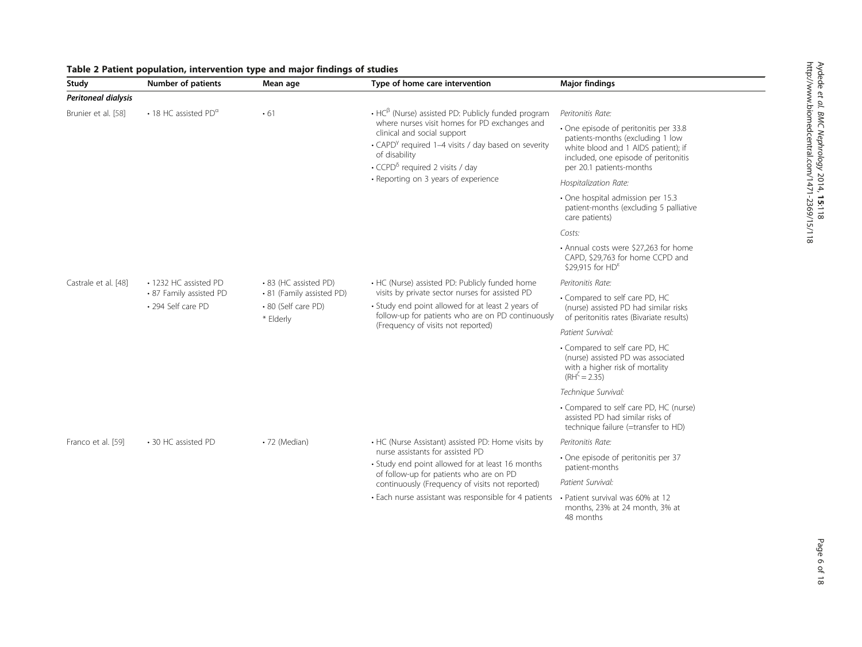| Study                | Number of patients                                                     | Mean age                                                                               | Type of home care intervention                                                                                                                                                                                                                                                                                                                          | Major findings                                                                                                                                                                       |
|----------------------|------------------------------------------------------------------------|----------------------------------------------------------------------------------------|---------------------------------------------------------------------------------------------------------------------------------------------------------------------------------------------------------------------------------------------------------------------------------------------------------------------------------------------------------|--------------------------------------------------------------------------------------------------------------------------------------------------------------------------------------|
| Peritoneal dialysis  |                                                                        |                                                                                        |                                                                                                                                                                                                                                                                                                                                                         |                                                                                                                                                                                      |
| Brunier et al. [58]  | $\cdot$ 18 HC assisted PD <sup>a</sup>                                 | $\cdot 61$                                                                             | $\cdot$ HC <sup>B</sup> (Nurse) assisted PD: Publicly funded program<br>where nurses visit homes for PD exchanges and<br>clinical and social support<br>• CAPD <sup>y</sup> required 1-4 visits / day based on severity<br>of disability<br>$\cdot$ CCPD <sup><math>\delta</math></sup> required 2 visits / day<br>• Reporting on 3 years of experience | Peritonitis Rate:                                                                                                                                                                    |
|                      |                                                                        |                                                                                        |                                                                                                                                                                                                                                                                                                                                                         | · One episode of peritonitis per 33.8<br>patients-months (excluding 1 low<br>white blood and 1 AIDS patient); if<br>included, one episode of peritonitis<br>per 20.1 patients-months |
|                      |                                                                        |                                                                                        |                                                                                                                                                                                                                                                                                                                                                         | Hospitalization Rate:                                                                                                                                                                |
|                      |                                                                        |                                                                                        |                                                                                                                                                                                                                                                                                                                                                         | · One hospital admission per 15.3<br>patient-months (excluding 5 palliative<br>care patients)                                                                                        |
|                      |                                                                        |                                                                                        |                                                                                                                                                                                                                                                                                                                                                         | Costs:                                                                                                                                                                               |
|                      |                                                                        |                                                                                        |                                                                                                                                                                                                                                                                                                                                                         | • Annual costs were \$27,263 for home<br>CAPD, \$29,763 for home CCPD and<br>\$29,915 for HD <sup>E</sup>                                                                            |
| Castrale et al. [48] | • 1232 HC assisted PD<br>• 87 Family assisted PD<br>• 294 Self care PD | • 83 (HC assisted PD)<br>• 81 (Family assisted PD)<br>• 80 (Self care PD)<br>* Elderly | • HC (Nurse) assisted PD: Publicly funded home<br>visits by private sector nurses for assisted PD<br>• Study end point allowed for at least 2 years of<br>follow-up for patients who are on PD continuously<br>(Frequency of visits not reported)                                                                                                       | Peritonitis Rate:                                                                                                                                                                    |
|                      |                                                                        |                                                                                        |                                                                                                                                                                                                                                                                                                                                                         | • Compared to self care PD, HC<br>(nurse) assisted PD had similar risks<br>of peritonitis rates (Bivariate results)                                                                  |
|                      |                                                                        |                                                                                        |                                                                                                                                                                                                                                                                                                                                                         | Patient Survival:                                                                                                                                                                    |
|                      |                                                                        |                                                                                        |                                                                                                                                                                                                                                                                                                                                                         | • Compared to self care PD, HC<br>(nurse) assisted PD was associated<br>with a higher risk of mortality<br>$(RH^{\zeta} = 2.35)$                                                     |
|                      |                                                                        |                                                                                        |                                                                                                                                                                                                                                                                                                                                                         | Technique Survival:                                                                                                                                                                  |
|                      |                                                                        |                                                                                        |                                                                                                                                                                                                                                                                                                                                                         | • Compared to self care PD, HC (nurse)<br>assisted PD had similar risks of<br>technique failure (=transfer to HD)                                                                    |
| Franco et al. [59]   | • 30 HC assisted PD                                                    | $\cdot$ 72 (Median)                                                                    | • HC (Nurse Assistant) assisted PD: Home visits by<br>nurse assistants for assisted PD<br>• Study end point allowed for at least 16 months<br>of follow-up for patients who are on PD<br>continuously (Frequency of visits not reported)                                                                                                                | Peritonitis Rate:                                                                                                                                                                    |
|                      |                                                                        |                                                                                        |                                                                                                                                                                                                                                                                                                                                                         | · One episode of peritonitis per 37<br>patient-months                                                                                                                                |
|                      |                                                                        |                                                                                        |                                                                                                                                                                                                                                                                                                                                                         | Patient Survival:                                                                                                                                                                    |
|                      |                                                                        |                                                                                        | · Each nurse assistant was responsible for 4 patients                                                                                                                                                                                                                                                                                                   | • Patient survival was 60% at 12<br>months, 23% at 24 month, 3% at<br>48 months                                                                                                      |

## <span id="page-5-0"></span>Table 2 Patient population, intervention type and major findings of studies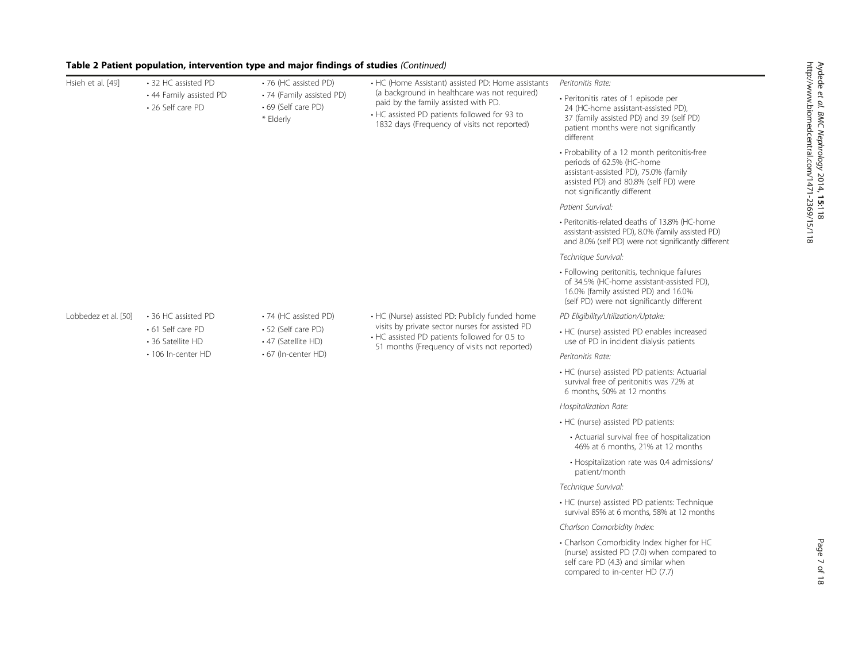#### Hsieh et al. [[49](#page-17-0)] • 32 HC assisted PD • 76 (HC assisted PD) • HC (Home Assistant) assisted PD: Home assistants (a background in healthcare was not required) paid by the family assisted with PD. Peritonitis Rate: • Peritonitis rates of 1 episode per 24 (HC-home assistant-assisted PD), 37 (family assisted PD) and 39 (self PD) patient months were not significantly different • 44 Family assisted PD • 74 (Family assisted PD) • HC assisted PD patients followed for 93 to 1832 days (Frequency of visits not reported) • Probability of a 12 month peritonitis-free periods of 62.5% (HC-home assistant-assisted PD), 75.0% (family assisted PD) and 80.8% (self PD) were not significantly different • 26 Self care PD • 69 (Self care PD) Patient Survival: \* Elderly • Peritonitis-related deaths of 13.8% (HC-home assistant-assisted PD), 8.0% (family assisted PD) and 8.0% (self PD) were not significantly different Technique Survival: • Following peritonitis, technique failures of 34.5% (HC-home assistant-assisted PD), 16.0% (family assisted PD) and 16.0% (self PD) were not significantly different Lobbedez et al. [[50](#page-17-0)] • 36 HC assisted PD • 74 (HC assisted PD) • HC (Nurse) assisted PD: Publicly funded home visits by private sector nurses for assisted PD PD Eligibility/Utilization/Uptake: • HC (nurse) assisted PD enables increased use of PD in incident dialysis patients • 61 Self care PD • 52 (Self care PD) • visits by private sector nurses for assisted PI<br>• HC assisted PD patients followed for 0.5 to • + HC assisted PD patients followed for 0.5 to • + HC assisted PD patients followed for 51 months (Frequency of visits not reported) Peritonitis Rate: • HC (nurse) assisted PD patients: Actuarial survival free of peritonitis was 72% at 6 months, 50% at 12 months • 47 (Satellite HD) Hospitalization Rate: • 106 In-center HD • 67 (In-center HD) • HC (nurse) assisted PD patients: • Actuarial survival free of hospitalization 46% at 6 months, 21% at 12 months • Hospitalization rate was 0.4 admissions/ patient/month Technique Survival:

#### Table 2 Patient population, intervention type and major findings of studies (Continued)

• HC (nurse) assisted PD patients: Technique survival 85% at 6 months, 58% at 12 months

Charlson Comorbidity Index:

• Charlson Comorbidity Index higher for HC (nurse) assisted PD (7.0) when compared to self care PD (4.3) and similar when compared to in-center HD (7.7)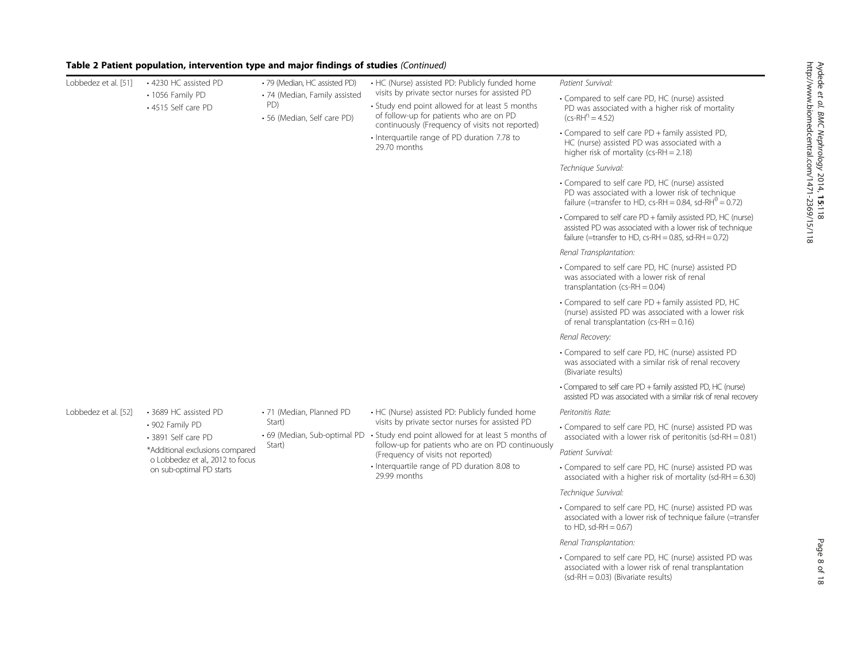| Lobbedez et al. [51] | • 4230 HC assisted PD<br>• 1056 Family PD<br>• 4515 Self care PD                                                                                                   | • 79 (Median, HC assisted PD)<br>• 74 (Median, Family assisted<br>PD)<br>• 56 (Median, Self care PD) | • HC (Nurse) assisted PD: Publicly funded home                                                                                                                                                                                                                                                                                                  | Patient Survival:                                                                                                                                                                       |
|----------------------|--------------------------------------------------------------------------------------------------------------------------------------------------------------------|------------------------------------------------------------------------------------------------------|-------------------------------------------------------------------------------------------------------------------------------------------------------------------------------------------------------------------------------------------------------------------------------------------------------------------------------------------------|-----------------------------------------------------------------------------------------------------------------------------------------------------------------------------------------|
|                      |                                                                                                                                                                    |                                                                                                      | visits by private sector nurses for assisted PD                                                                                                                                                                                                                                                                                                 |                                                                                                                                                                                         |
|                      |                                                                                                                                                                    |                                                                                                      | • Study end point allowed for at least 5 months<br>of follow-up for patients who are on PD<br>continuously (Frequency of visits not reported)<br>• Interquartile range of PD duration 7.78 to<br>29.70 months                                                                                                                                   | • Compared to self care PD, HC (nurse) assisted<br>PD was associated with a higher risk of mortality<br>$(cs-RHn = 4.52)$                                                               |
|                      |                                                                                                                                                                    |                                                                                                      |                                                                                                                                                                                                                                                                                                                                                 | • Compared to self care PD + family assisted PD,<br>HC (nurse) assisted PD was associated with a<br>higher risk of mortality (cs-RH $= 2.18$ )                                          |
|                      |                                                                                                                                                                    |                                                                                                      |                                                                                                                                                                                                                                                                                                                                                 | Technique Survival:                                                                                                                                                                     |
|                      |                                                                                                                                                                    |                                                                                                      |                                                                                                                                                                                                                                                                                                                                                 | • Compared to self care PD, HC (nurse) assisted<br>PD was associated with a lower risk of technique<br>failure (=transfer to HD, cs-RH = 0.84, sd-RH $=$ 0.72)                          |
|                      |                                                                                                                                                                    |                                                                                                      |                                                                                                                                                                                                                                                                                                                                                 | • Compared to self care PD + family assisted PD, HC (nurse)<br>assisted PD was associated with a lower risk of technique<br>failure (=transfer to HD, cs-RH = $0.85$ , sd-RH = $0.72$ ) |
|                      |                                                                                                                                                                    |                                                                                                      |                                                                                                                                                                                                                                                                                                                                                 | Renal Transplantation:                                                                                                                                                                  |
|                      |                                                                                                                                                                    |                                                                                                      |                                                                                                                                                                                                                                                                                                                                                 | • Compared to self care PD, HC (nurse) assisted PD<br>was associated with a lower risk of renal<br>transplantation (cs-RH $= 0.04$ )                                                    |
|                      |                                                                                                                                                                    |                                                                                                      |                                                                                                                                                                                                                                                                                                                                                 | • Compared to self care PD + family assisted PD, HC<br>(nurse) assisted PD was associated with a lower risk<br>of renal transplantation (cs-RH = $0.16$ )                               |
|                      |                                                                                                                                                                    |                                                                                                      |                                                                                                                                                                                                                                                                                                                                                 | Renal Recovery:                                                                                                                                                                         |
|                      |                                                                                                                                                                    |                                                                                                      |                                                                                                                                                                                                                                                                                                                                                 | • Compared to self care PD, HC (nurse) assisted PD<br>was associated with a similar risk of renal recovery<br>(Bivariate results)                                                       |
|                      |                                                                                                                                                                    |                                                                                                      |                                                                                                                                                                                                                                                                                                                                                 | • Compared to self care PD + family assisted PD, HC (nurse)<br>assisted PD was associated with a similar risk of renal recovery                                                         |
| Lobbedez et al. [52] | • 3689 HC assisted PD<br>• 902 Family PD<br>• 3891 Self care PD<br>*Additional exclusions compared<br>o Lobbedez et al., 2012 to focus<br>on sub-optimal PD starts | • 71 (Median, Planned PD                                                                             | • HC (Nurse) assisted PD: Publicly funded home<br>visits by private sector nurses for assisted PD<br>• 69 (Median, Sub-optimal PD • Study end point allowed for at least 5 months of<br>follow-up for patients who are on PD continuously<br>(Frequency of visits not reported)<br>· Interquartile range of PD duration 8.08 to<br>29.99 months | Peritonitis Rate:                                                                                                                                                                       |
|                      |                                                                                                                                                                    | Start)<br>Start)                                                                                     |                                                                                                                                                                                                                                                                                                                                                 | • Compared to self care PD, HC (nurse) assisted PD was<br>associated with a lower risk of peritonitis (sd-RH $= 0.81$ )                                                                 |
|                      |                                                                                                                                                                    |                                                                                                      |                                                                                                                                                                                                                                                                                                                                                 | Patient Survival:                                                                                                                                                                       |
|                      |                                                                                                                                                                    |                                                                                                      |                                                                                                                                                                                                                                                                                                                                                 | • Compared to self care PD, HC (nurse) assisted PD was<br>associated with a higher risk of mortality (sd-RH $= 6.30$ )                                                                  |
|                      |                                                                                                                                                                    |                                                                                                      |                                                                                                                                                                                                                                                                                                                                                 | Technique Survival:                                                                                                                                                                     |
|                      |                                                                                                                                                                    |                                                                                                      |                                                                                                                                                                                                                                                                                                                                                 | • Compared to self care PD, HC (nurse) assisted PD was<br>associated with a lower risk of technique failure (=transfer<br>to HD, sd-RH $= 0.67$ )                                       |

## Table 2 Patient population, intervention type and major findings of studies (Continued)

Renal Transplantation:

• Compared to self care PD, HC (nurse) assisted PD was associated with a lower risk of renal transplantation  $(sd-RH = 0.03)$  (Bivariate results)

Page 8 of 18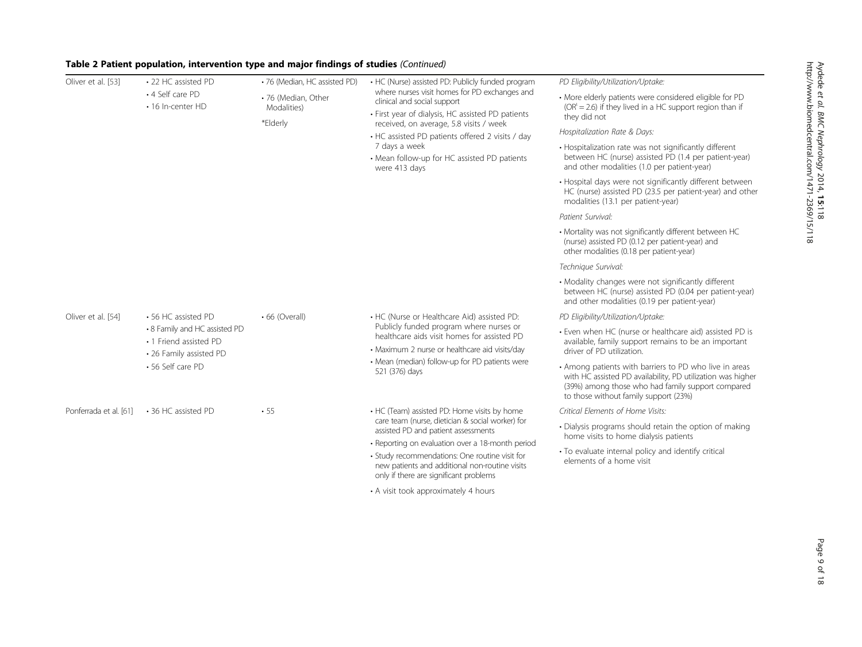| Oliver et al. [53]     | • 22 HC assisted PD<br>• 4 Self care PD<br>• 16 In-center HD | • 76 (Median, HC assisted PD)                  | • HC (Nurse) assisted PD: Publicly funded program<br>where nurses visit homes for PD exchanges and<br>clinical and social support<br>• First year of dialysis, HC assisted PD patients<br>received, on average, 5.8 visits / week<br>• HC assisted PD patients offered 2 visits / day<br>7 days a week<br>• Mean follow-up for HC assisted PD patients<br>were 413 days | PD Eligibility/Utilization/Uptake:                                                                                                                                                                                  |
|------------------------|--------------------------------------------------------------|------------------------------------------------|-------------------------------------------------------------------------------------------------------------------------------------------------------------------------------------------------------------------------------------------------------------------------------------------------------------------------------------------------------------------------|---------------------------------------------------------------------------------------------------------------------------------------------------------------------------------------------------------------------|
|                        |                                                              | • 76 (Median, Other<br>Modalities)<br>*Elderly |                                                                                                                                                                                                                                                                                                                                                                         | • More elderly patients were considered eligible for PD<br>$(ORt = 2.6)$ if they lived in a HC support region than if<br>they did not                                                                               |
|                        |                                                              |                                                |                                                                                                                                                                                                                                                                                                                                                                         | Hospitalization Rate & Days:                                                                                                                                                                                        |
|                        |                                                              |                                                |                                                                                                                                                                                                                                                                                                                                                                         | • Hospitalization rate was not significantly different<br>between HC (nurse) assisted PD (1.4 per patient-year)<br>and other modalities (1.0 per patient-year)                                                      |
|                        |                                                              |                                                |                                                                                                                                                                                                                                                                                                                                                                         | • Hospital days were not significantly different between<br>HC (nurse) assisted PD (23.5 per patient-year) and other<br>modalities (13.1 per patient-year)                                                          |
|                        |                                                              |                                                |                                                                                                                                                                                                                                                                                                                                                                         | Patient Survival:                                                                                                                                                                                                   |
|                        |                                                              |                                                |                                                                                                                                                                                                                                                                                                                                                                         | · Mortality was not significantly different between HC<br>(nurse) assisted PD (0.12 per patient-year) and<br>other modalities (0.18 per patient-year)                                                               |
|                        |                                                              |                                                |                                                                                                                                                                                                                                                                                                                                                                         | Technique Survival:                                                                                                                                                                                                 |
|                        |                                                              |                                                |                                                                                                                                                                                                                                                                                                                                                                         | • Modality changes were not significantly different<br>between HC (nurse) assisted PD (0.04 per patient-year)<br>and other modalities (0.19 per patient-year)                                                       |
| Oliver et al. [54]     | • 56 HC assisted PD                                          | $\cdot$ 66 (Overall)                           | • HC (Nurse or Healthcare Aid) assisted PD:<br>Publicly funded program where nurses or<br>healthcare aids visit homes for assisted PD<br>• Maximum 2 nurse or healthcare aid visits/day<br>• Mean (median) follow-up for PD patients were<br>521 (376) days                                                                                                             | PD Eligibility/Utilization/Uptake:                                                                                                                                                                                  |
|                        | • 8 Family and HC assisted PD                                |                                                |                                                                                                                                                                                                                                                                                                                                                                         | • Even when HC (nurse or healthcare aid) assisted PD is                                                                                                                                                             |
|                        | • 1 Friend assisted PD<br>• 26 Family assisted PD            |                                                |                                                                                                                                                                                                                                                                                                                                                                         | available, family support remains to be an important<br>driver of PD utilization.                                                                                                                                   |
|                        | • 56 Self care PD                                            |                                                |                                                                                                                                                                                                                                                                                                                                                                         | • Among patients with barriers to PD who live in areas<br>with HC assisted PD availability, PD utilization was higher<br>(39%) among those who had family support compared<br>to those without family support (23%) |
| Ponferrada et al. [61] | • 36 HC assisted PD                                          | .55                                            | • HC (Team) assisted PD: Home visits by home                                                                                                                                                                                                                                                                                                                            | Critical Elements of Home Visits:                                                                                                                                                                                   |
|                        |                                                              |                                                | care team (nurse, dietician & social worker) for<br>assisted PD and patient assessments<br>• Reporting on evaluation over a 18-month period<br>· Study recommendations: One routine visit for<br>new patients and additional non-routine visits<br>only if there are significant problems                                                                               | • Dialysis programs should retain the option of making<br>home visits to home dialysis patients                                                                                                                     |
|                        |                                                              |                                                |                                                                                                                                                                                                                                                                                                                                                                         | • To evaluate internal policy and identify critical<br>elements of a home visit                                                                                                                                     |

## Table 2 Patient population, intervention type and major findings of studies (Continued)

• A visit took approximately 4 hours

Page 9 of 18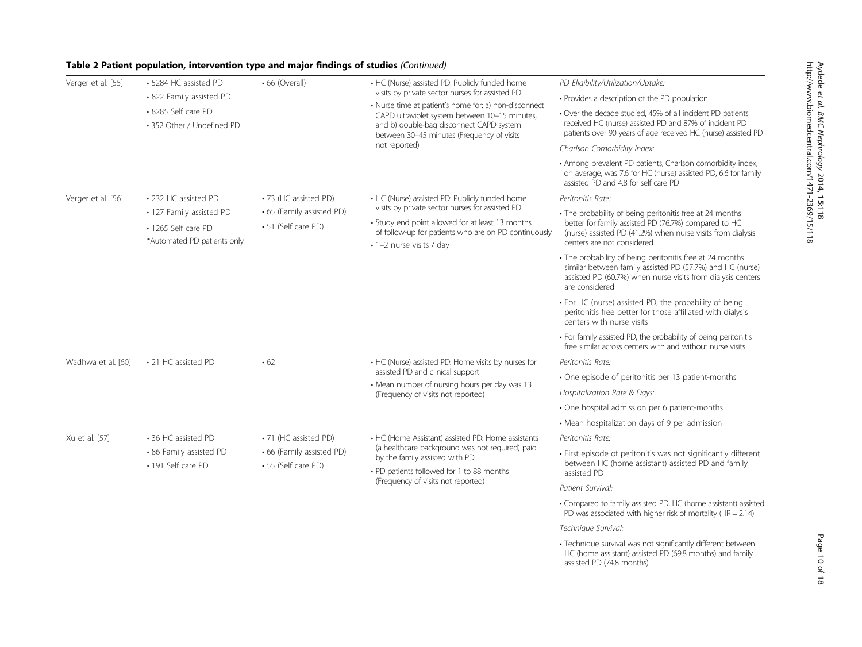| Table 2 Patient population, intervention type and major findings of studies (Continued) |  |  |
|-----------------------------------------------------------------------------------------|--|--|
|-----------------------------------------------------------------------------------------|--|--|

| Verger et al. [55] | • 5284 HC assisted PD                              | $\cdot$ 66 (Overall)                             | • HC (Nurse) assisted PD: Publicly funded home<br>visits by private sector nurses for assisted PD<br>· Nurse time at patient's home for: a) non-disconnect<br>CAPD ultraviolet system between 10-15 minutes,<br>and b) double-bag disconnect CAPD system<br>between 30-45 minutes (Frequency of visits | PD Eligibility/Utilization/Uptake:                                                                                                                                                                     |
|--------------------|----------------------------------------------------|--------------------------------------------------|--------------------------------------------------------------------------------------------------------------------------------------------------------------------------------------------------------------------------------------------------------------------------------------------------------|--------------------------------------------------------------------------------------------------------------------------------------------------------------------------------------------------------|
|                    | • 822 Family assisted PD                           |                                                  |                                                                                                                                                                                                                                                                                                        | • Provides a description of the PD population                                                                                                                                                          |
|                    | • 8285 Self care PD<br>• 352 Other / Undefined PD  |                                                  |                                                                                                                                                                                                                                                                                                        | • Over the decade studied, 45% of all incident PD patients<br>received HC (nurse) assisted PD and 87% of incident PD<br>patients over 90 years of age received HC (nurse) assisted PD                  |
|                    |                                                    |                                                  | not reported)                                                                                                                                                                                                                                                                                          | Charlson Comorbidity Index:                                                                                                                                                                            |
|                    |                                                    |                                                  |                                                                                                                                                                                                                                                                                                        | • Among prevalent PD patients, Charlson comorbidity index,<br>on average, was 7.6 for HC (nurse) assisted PD, 6.6 for family<br>assisted PD and 4.8 for self care PD                                   |
| Verger et al. [56] | • 232 HC assisted PD                               | • 73 (HC assisted PD)                            | • HC (Nurse) assisted PD: Publicly funded home<br>visits by private sector nurses for assisted PD                                                                                                                                                                                                      | Peritonitis Rate:                                                                                                                                                                                      |
|                    | • 127 Family assisted PD                           | • 65 (Family assisted PD)                        |                                                                                                                                                                                                                                                                                                        | • The probability of being peritonitis free at 24 months                                                                                                                                               |
|                    | • 1265 Self care PD<br>*Automated PD patients only | $\cdot$ 51 (Self care PD)                        | • Study end point allowed for at least 13 months<br>of follow-up for patients who are on PD continuously<br>• 1-2 nurse visits / day                                                                                                                                                                   | better for family assisted PD (76.7%) compared to HC<br>(nurse) assisted PD (41.2%) when nurse visits from dialysis<br>centers are not considered                                                      |
|                    |                                                    |                                                  |                                                                                                                                                                                                                                                                                                        | • The probability of being peritonitis free at 24 months<br>similar between family assisted PD (57.7%) and HC (nurse)<br>assisted PD (60.7%) when nurse visits from dialysis centers<br>are considered |
|                    |                                                    |                                                  |                                                                                                                                                                                                                                                                                                        | • For HC (nurse) assisted PD, the probability of being<br>peritonitis free better for those affiliated with dialysis<br>centers with nurse visits                                                      |
|                    |                                                    |                                                  |                                                                                                                                                                                                                                                                                                        | • For family assisted PD, the probability of being peritonitis<br>free similar across centers with and without nurse visits                                                                            |
| Wadhwa et al. [60] | • 21 HC assisted PD                                | $\cdot 62$                                       | • HC (Nurse) assisted PD: Home visits by nurses for<br>assisted PD and clinical support<br>• Mean number of nursing hours per day was 13<br>(Frequency of visits not reported)                                                                                                                         | Peritonitis Rate:                                                                                                                                                                                      |
|                    |                                                    |                                                  |                                                                                                                                                                                                                                                                                                        | • One episode of peritonitis per 13 patient-months                                                                                                                                                     |
|                    |                                                    |                                                  |                                                                                                                                                                                                                                                                                                        | Hospitalization Rate & Days:                                                                                                                                                                           |
|                    |                                                    |                                                  |                                                                                                                                                                                                                                                                                                        | • One hospital admission per 6 patient-months                                                                                                                                                          |
|                    |                                                    |                                                  |                                                                                                                                                                                                                                                                                                        | • Mean hospitalization days of 9 per admission                                                                                                                                                         |
| Xu et al. [57]     | • 36 HC assisted PD                                | • 71 (HC assisted PD)                            | • HC (Home Assistant) assisted PD: Home assistants                                                                                                                                                                                                                                                     | Peritonitis Rate:                                                                                                                                                                                      |
|                    | • 86 Family assisted PD<br>• 191 Self care PD      | • 66 (Family assisted PD)<br>• 55 (Self care PD) | (a healthcare background was not required) paid<br>by the family assisted with PD<br>· PD patients followed for 1 to 88 months<br>(Frequency of visits not reported)                                                                                                                                   | • First episode of peritonitis was not significantly different<br>between HC (home assistant) assisted PD and family<br>assisted PD                                                                    |
|                    |                                                    |                                                  |                                                                                                                                                                                                                                                                                                        | Patient Survival:                                                                                                                                                                                      |
|                    |                                                    |                                                  |                                                                                                                                                                                                                                                                                                        | • Compared to family assisted PD, HC (home assistant) assisted<br>PD was associated with higher risk of mortality ( $HR = 2.14$ )                                                                      |
|                    |                                                    |                                                  |                                                                                                                                                                                                                                                                                                        | Technique Survival:                                                                                                                                                                                    |
|                    |                                                    |                                                  |                                                                                                                                                                                                                                                                                                        | • Technique survival was not significantly different between                                                                                                                                           |

• Technique survival was not significantly different between HC (home assistant) assisted PD (69.8 months) and family assisted PD (74.8 months)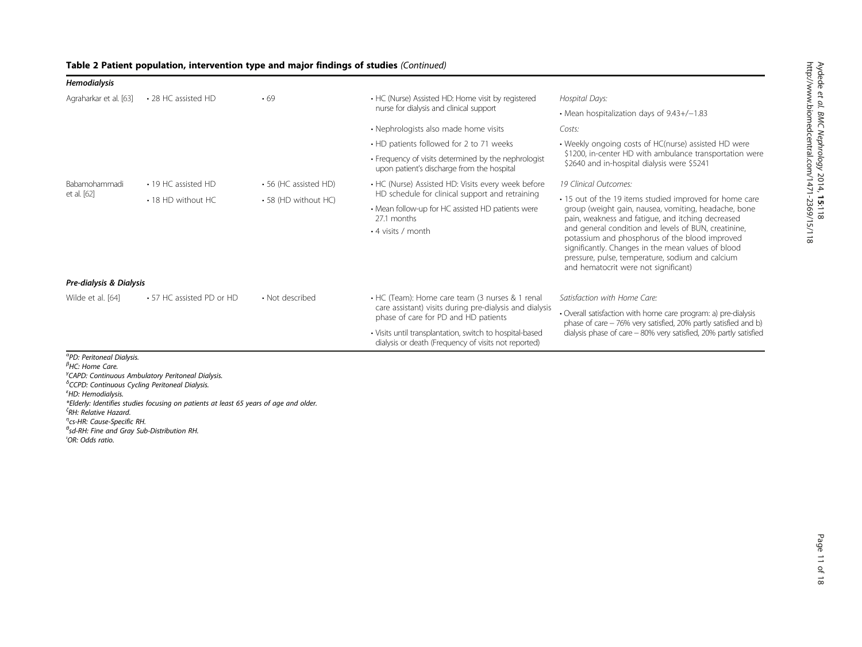Aydede et al. BMC Nephrology 2014, -<br>ต :118 http://www.biomedcentral.com/1471-2369/15/118

## Table 2 Patient population, intervention type and major findings of studies (Continued)

| Agraharkar et al. [63]<br>• 28 HC assisted HD |                           | .69                   | • HC (Nurse) Assisted HD: Home visit by registered<br>nurse for dialysis and clinical support                                                      | Hospital Days:                                                                                                                                                                                                                                           |
|-----------------------------------------------|---------------------------|-----------------------|----------------------------------------------------------------------------------------------------------------------------------------------------|----------------------------------------------------------------------------------------------------------------------------------------------------------------------------------------------------------------------------------------------------------|
|                                               |                           |                       |                                                                                                                                                    | • Mean hospitalization days of 9.43+/-1.83                                                                                                                                                                                                               |
|                                               |                           |                       | • Nephrologists also made home visits                                                                                                              | Costs:                                                                                                                                                                                                                                                   |
|                                               |                           |                       | • HD patients followed for 2 to 71 weeks                                                                                                           | • Weekly ongoing costs of HC(nurse) assisted HD were                                                                                                                                                                                                     |
|                                               |                           |                       | • Frequency of visits determined by the nephrologist<br>upon patient's discharge from the hospital                                                 | \$1200, in-center HD with ambulance transportation were<br>\$2640 and in-hospital dialysis were \$5241                                                                                                                                                   |
| <b>Babamohammadi</b>                          | • 19 HC assisted HD       | • 56 (HC assisted HD) | • HC (Nurse) Assisted HD: Visits every week before<br>HD schedule for clinical support and retraining                                              | 19 Clinical Outcomes:                                                                                                                                                                                                                                    |
| et al. [62]                                   | • 18 HD without HC        | • 58 (HD without HC)  |                                                                                                                                                    | • 15 out of the 19 items studied improved for home care                                                                                                                                                                                                  |
|                                               |                           |                       | • Mean follow-up for HC assisted HD patients were<br>27.1 months                                                                                   | group (weight gain, nausea, vomiting, headache, bone<br>pain, weakness and fatigue, and itching decreased                                                                                                                                                |
|                                               |                           |                       | • 4 visits / month                                                                                                                                 | and general condition and levels of BUN, creatinine,<br>potassium and phosphorus of the blood improved<br>significantly. Changes in the mean values of blood<br>pressure, pulse, temperature, sodium and calcium<br>and hematocrit were not significant) |
|                                               |                           |                       |                                                                                                                                                    |                                                                                                                                                                                                                                                          |
| Wilde et al. [64]                             | • 57 HC assisted PD or HD | • Not described       | • HC (Team): Home care team (3 nurses & 1 renal<br>care assistant) visits during pre-dialysis and dialysis<br>phase of care for PD and HD patients | Satisfaction with Home Care:                                                                                                                                                                                                                             |
|                                               |                           |                       |                                                                                                                                                    | • Overall satisfaction with home care program: a) pre-dialysis<br>phase of care - 76% very satisfied, 20% partly satisfied and b)                                                                                                                        |
|                                               |                           |                       | • Visits until transplantation, switch to hospital-based<br>dialysis or death (Frequency of visits not reported)                                   | dialysis phase of care - 80% very satisfied, 20% partly satisfied                                                                                                                                                                                        |
| .                                             |                           |                       |                                                                                                                                                    |                                                                                                                                                                                                                                                          |

<sup>a</sup>PD: Peritoneal Dialysis.

 $^{\beta}$ HC: Home Care.

Hemodialysis

<sup>Y</sup>CAPD: Continuous Ambulatory Peritoneal Dialysis.

δCCPD: Continuous Cycling Peritoneal Dialysis.

ε HD: Hemodialysis.

\*Elderly: Identifies studies focusing on patients at least 65 years of age and older.

<sup>ζ</sup>RH: Relative Hazard.

<sup>n</sup>cs-HR: Cause-Specific RH.

θ sd-RH: Fine and Gray Sub-Distribution RH.

ι OR: Odds ratio.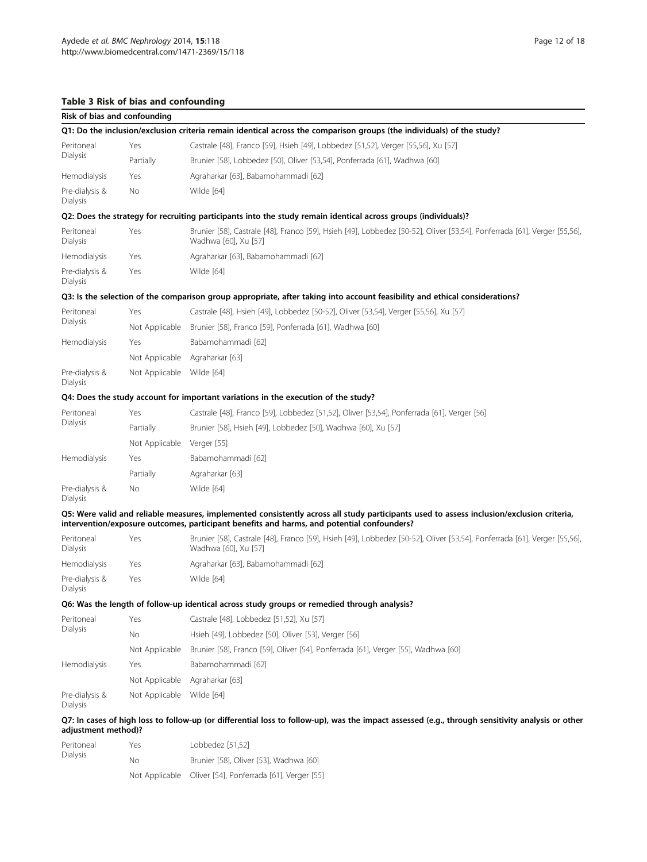## <span id="page-11-0"></span>Table 3 Risk of bias and confounding

| Risk of bias and confounding |                                                                                                                                                                                                                                         |
|------------------------------|-----------------------------------------------------------------------------------------------------------------------------------------------------------------------------------------------------------------------------------------|
|                              | Q1: Do the inclusion/exclusion criteria remain identical across the comparison groups (the individuals) of the study?                                                                                                                   |
| Yes                          | Castrale [48], Franco [59], Hsieh [49], Lobbedez [51,52], Verger [55,56], Xu [57]                                                                                                                                                       |
| Partially                    | Brunier [58], Lobbedez [50], Oliver [53,54], Ponferrada [61], Wadhwa [60]                                                                                                                                                               |
| Yes                          | Agraharkar [63], Babamohammadi [62]                                                                                                                                                                                                     |
| <b>No</b>                    | Wilde [64]                                                                                                                                                                                                                              |
|                              | Q2: Does the strategy for recruiting participants into the study remain identical across groups (individuals)?                                                                                                                          |
| Yes                          | Brunier [58], Castrale [48], Franco [59], Hsieh [49], Lobbedez [50-52], Oliver [53,54], Ponferrada [61], Verger [55,56],<br>Wadhwa [60], Xu [57]                                                                                        |
| Yes                          | Agraharkar [63], Babamohammadi [62]                                                                                                                                                                                                     |
| Yes                          | Wilde [64]                                                                                                                                                                                                                              |
|                              | Q3: Is the selection of the comparison group appropriate, after taking into account feasibility and ethical considerations?                                                                                                             |
| Yes                          | Castrale [48], Hsieh [49], Lobbedez [50-52], Oliver [53,54], Verger [55,56], Xu [57]                                                                                                                                                    |
| Not Applicable               | Brunier [58], Franco [59], Ponferrada [61], Wadhwa [60]                                                                                                                                                                                 |
| Yes                          | Babamohammadi [62]                                                                                                                                                                                                                      |
| Not Applicable               | Agraharkar [63]                                                                                                                                                                                                                         |
| Not Applicable               | Wilde [64]                                                                                                                                                                                                                              |
|                              | Q4: Does the study account for important variations in the execution of the study?                                                                                                                                                      |
| Yes                          | Castrale [48], Franco [59], Lobbedez [51,52], Oliver [53,54], Ponferrada [61], Verger [56]                                                                                                                                              |
| Partially                    | Brunier [58], Hsieh [49], Lobbedez [50], Wadhwa [60], Xu [57]                                                                                                                                                                           |
| Not Applicable               | Verger [55]                                                                                                                                                                                                                             |
| Yes                          | Babamohammadi [62]                                                                                                                                                                                                                      |
| Partially                    | Agraharkar [63]                                                                                                                                                                                                                         |
| No                           | Wilde [64]                                                                                                                                                                                                                              |
|                              | Q5: Were valid and reliable measures, implemented consistently across all study participants used to assess inclusion/exclusion criteria,<br>intervention/exposure outcomes, participant benefits and harms, and potential confounders? |
| Yes                          | Brunier [58], Castrale [48], Franco [59], Hsieh [49], Lobbedez [50-52], Oliver [53,54], Ponferrada [61], Verger [55,56],<br>Wadhwa [60], Xu [57]                                                                                        |
| Yes                          | Agraharkar [63], Babamohammadi [62]                                                                                                                                                                                                     |
| Yes                          | Wilde [64]                                                                                                                                                                                                                              |
|                              | Q6: Was the length of follow-up identical across study groups or remedied through analysis?                                                                                                                                             |
| Yes                          | Castrale [48], Lobbedez [51,52], Xu [57]                                                                                                                                                                                                |
| No                           | Hsieh [49], Lobbedez [50], Oliver [53], Verger [56]                                                                                                                                                                                     |
| Not Applicable               | Brunier [58], Franco [59], Oliver [54], Ponferrada [61], Verger [55], Wadhwa [60]                                                                                                                                                       |
| Yes                          | Babamohammadi [62]                                                                                                                                                                                                                      |
| Not Applicable               | Agraharkar [63]                                                                                                                                                                                                                         |
| Not Applicable               | Wilde [64]                                                                                                                                                                                                                              |
| adjustment method)?          | Q7: In cases of high loss to follow-up (or differential loss to follow-up), was the impact assessed (e.g., through sensitivity analysis or other                                                                                        |
| Yes                          | Lobbedez [51,52]                                                                                                                                                                                                                        |
| No                           | Brunier [58], Oliver [53], Wadhwa [60]                                                                                                                                                                                                  |
| Not Applicable               | Oliver [54], Ponferrada [61], Verger [55]                                                                                                                                                                                               |
|                              |                                                                                                                                                                                                                                         |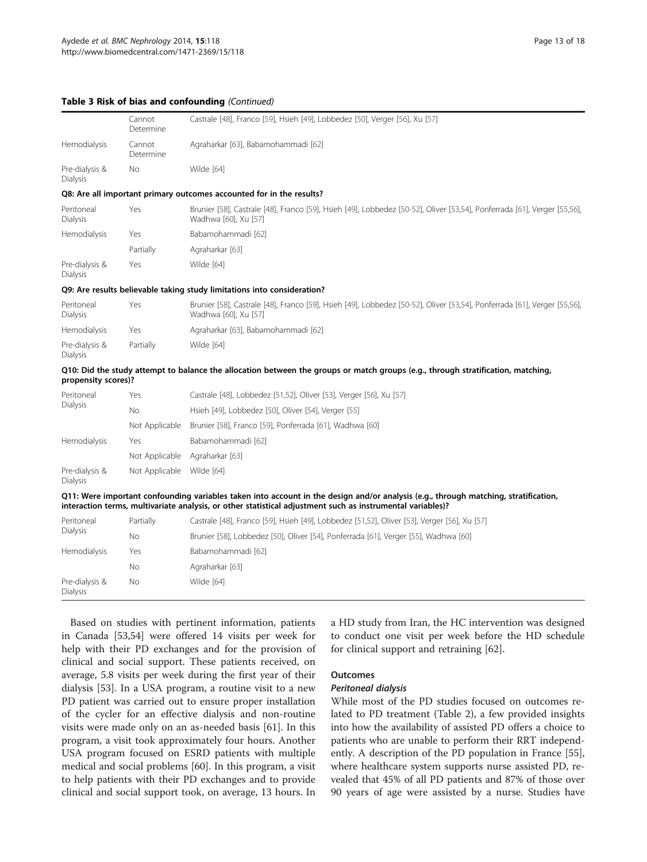#### Table 3 Risk of bias and confounding (Continued)

|                            | Cannot<br>Determine | Castrale [48], Franco [59], Hsieh [49], Lobbedez [50], Verger [56], Xu [57]                                                                                                                                                                       |  |  |
|----------------------------|---------------------|---------------------------------------------------------------------------------------------------------------------------------------------------------------------------------------------------------------------------------------------------|--|--|
| Hemodialysis               | Cannot<br>Determine | Agraharkar [63], Babamohammadi [62]                                                                                                                                                                                                               |  |  |
| Pre-dialysis &<br>Dialysis | <b>No</b>           | Wilde [64]                                                                                                                                                                                                                                        |  |  |
|                            |                     | Q8: Are all important primary outcomes accounted for in the results?                                                                                                                                                                              |  |  |
| Peritoneal<br>Dialysis     | Yes                 | Brunier [58], Castrale [48], Franco [59], Hsieh [49], Lobbedez [50-52], Oliver [53,54], Ponferrada [61], Verger [55,56]<br>Wadhwa [60], Xu [57]                                                                                                   |  |  |
| Hemodialysis               | Yes                 | Babamohammadi [62]                                                                                                                                                                                                                                |  |  |
|                            | Partially           | Agraharkar [63]                                                                                                                                                                                                                                   |  |  |
| Pre-dialysis &<br>Dialysis | Yes                 | Wilde [64]                                                                                                                                                                                                                                        |  |  |
|                            |                     | Q9: Are results believable taking study limitations into consideration?                                                                                                                                                                           |  |  |
| Peritoneal<br>Dialysis     | Yes                 | Brunier [58], Castrale [48], Franco [59], Hsieh [49], Lobbedez [50-52], Oliver [53,54], Ponferrada [61], Verger [55,56]<br>Wadhwa [60], Xu [57]                                                                                                   |  |  |
| Hemodialysis               | Yes                 | Agraharkar [63], Babamohammadi [62]                                                                                                                                                                                                               |  |  |
| Pre-dialysis &<br>Dialysis | Partially           | Wilde [64]                                                                                                                                                                                                                                        |  |  |
| propensity scores)?        |                     | Q10: Did the study attempt to balance the allocation between the groups or match groups (e.g., through stratification, matching,                                                                                                                  |  |  |
| Peritoneal                 | Yes                 | Castrale [48], Lobbedez [51,52], Oliver [53], Verger [56], Xu [57]                                                                                                                                                                                |  |  |
| Dialysis                   | <b>No</b>           | Hsieh [49], Lobbedez [50], Oliver [54], Verger [55]                                                                                                                                                                                               |  |  |
|                            | Not Applicable      | Brunier [58], Franco [59], Ponferrada [61], Wadhwa [60]                                                                                                                                                                                           |  |  |
| Hemodialysis               | Yes                 | Babamohammadi [62]                                                                                                                                                                                                                                |  |  |
|                            | Not Applicable      | Agraharkar [63]                                                                                                                                                                                                                                   |  |  |
| Pre-dialysis &<br>Dialysis | Not Applicable      | Wilde [64]                                                                                                                                                                                                                                        |  |  |
|                            |                     | Q11: Were important confounding variables taken into account in the design and/or analysis (e.g., through matching, stratification,<br>interaction terms, multivariate analysis, or other statistical adjustment such as instrumental variables)? |  |  |
| Peritoneal                 | Partially           | Castrale [48], Franco [59], Hsieh [49], Lobbedez [51,52], Oliver [53], Verger [56], Xu [57]                                                                                                                                                       |  |  |
| <b>Dialysis</b>            | <b>No</b>           | Brunier [58], Lobbedez [50], Oliver [54], Ponferrada [61], Verger [55], Wadhwa [60]                                                                                                                                                               |  |  |
| Hemodialysis               | Yes                 | Babamohammadi [62]                                                                                                                                                                                                                                |  |  |

Based on studies with pertinent information, patients in Canada [[53,54\]](#page-17-0) were offered 14 visits per week for help with their PD exchanges and for the provision of clinical and social support. These patients received, on average, 5.8 visits per week during the first year of their dialysis [\[53](#page-17-0)]. In a USA program, a routine visit to a new PD patient was carried out to ensure proper installation of the cycler for an effective dialysis and non-routine visits were made only on an as-needed basis [[61](#page-17-0)]. In this program, a visit took approximately four hours. Another USA program focused on ESRD patients with multiple medical and social problems [\[60\]](#page-17-0). In this program, a visit to help patients with their PD exchanges and to provide clinical and social support took, on average, 13 hours. In

No Agraharkar [[63](#page-17-0)]

No Wilde [\[64](#page-17-0)]

Pre-dialysis & Dialysis

> a HD study from Iran, the HC intervention was designed to conduct one visit per week before the HD schedule for clinical support and retraining [[62](#page-17-0)].

#### **Outcomes**

## Peritoneal dialysis

While most of the PD studies focused on outcomes related to PD treatment (Table [2](#page-5-0)), a few provided insights into how the availability of assisted PD offers a choice to patients who are unable to perform their RRT independently. A description of the PD population in France [\[55](#page-17-0)], where healthcare system supports nurse assisted PD, revealed that 45% of all PD patients and 87% of those over 90 years of age were assisted by a nurse. Studies have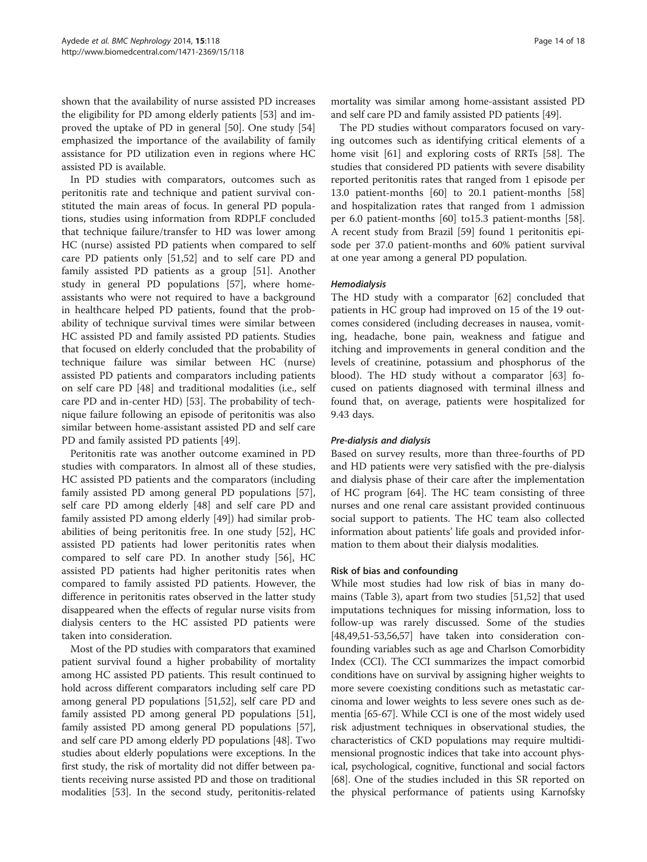shown that the availability of nurse assisted PD increases the eligibility for PD among elderly patients [\[53](#page-17-0)] and improved the uptake of PD in general [[50\]](#page-17-0). One study [[54](#page-17-0)] emphasized the importance of the availability of family assistance for PD utilization even in regions where HC assisted PD is available.

In PD studies with comparators, outcomes such as peritonitis rate and technique and patient survival constituted the main areas of focus. In general PD populations, studies using information from RDPLF concluded that technique failure/transfer to HD was lower among HC (nurse) assisted PD patients when compared to self care PD patients only [\[51,52\]](#page-17-0) and to self care PD and family assisted PD patients as a group [[51\]](#page-17-0). Another study in general PD populations [[57](#page-17-0)], where homeassistants who were not required to have a background in healthcare helped PD patients, found that the probability of technique survival times were similar between HC assisted PD and family assisted PD patients. Studies that focused on elderly concluded that the probability of technique failure was similar between HC (nurse) assisted PD patients and comparators including patients on self care PD [[48\]](#page-17-0) and traditional modalities (i.e., self care PD and in-center HD) [\[53](#page-17-0)]. The probability of technique failure following an episode of peritonitis was also similar between home-assistant assisted PD and self care PD and family assisted PD patients [\[49](#page-17-0)].

Peritonitis rate was another outcome examined in PD studies with comparators. In almost all of these studies, HC assisted PD patients and the comparators (including family assisted PD among general PD populations [\[57](#page-17-0)], self care PD among elderly [\[48\]](#page-17-0) and self care PD and family assisted PD among elderly [[49](#page-17-0)]) had similar probabilities of being peritonitis free. In one study [\[52](#page-17-0)], HC assisted PD patients had lower peritonitis rates when compared to self care PD. In another study [\[56\]](#page-17-0), HC assisted PD patients had higher peritonitis rates when compared to family assisted PD patients. However, the difference in peritonitis rates observed in the latter study disappeared when the effects of regular nurse visits from dialysis centers to the HC assisted PD patients were taken into consideration.

Most of the PD studies with comparators that examined patient survival found a higher probability of mortality among HC assisted PD patients. This result continued to hold across different comparators including self care PD among general PD populations [\[51,52\]](#page-17-0), self care PD and family assisted PD among general PD populations [[51](#page-17-0)], family assisted PD among general PD populations [[57](#page-17-0)], and self care PD among elderly PD populations [\[48](#page-17-0)]. Two studies about elderly populations were exceptions. In the first study, the risk of mortality did not differ between patients receiving nurse assisted PD and those on traditional modalities [\[53\]](#page-17-0). In the second study, peritonitis-related

mortality was similar among home-assistant assisted PD and self care PD and family assisted PD patients [\[49\]](#page-17-0).

The PD studies without comparators focused on varying outcomes such as identifying critical elements of a home visit [[61](#page-17-0)] and exploring costs of RRTs [[58\]](#page-17-0). The studies that considered PD patients with severe disability reported peritonitis rates that ranged from 1 episode per 13.0 patient-months [[60\]](#page-17-0) to 20.1 patient-months [[58](#page-17-0)] and hospitalization rates that ranged from 1 admission per 6.0 patient-months [[60](#page-17-0)] to15.3 patient-months [\[58](#page-17-0)]. A recent study from Brazil [\[59](#page-17-0)] found 1 peritonitis episode per 37.0 patient-months and 60% patient survival at one year among a general PD population.

## Hemodialysis

The HD study with a comparator [\[62\]](#page-17-0) concluded that patients in HC group had improved on 15 of the 19 outcomes considered (including decreases in nausea, vomiting, headache, bone pain, weakness and fatigue and itching and improvements in general condition and the levels of creatinine, potassium and phosphorus of the blood). The HD study without a comparator [[63\]](#page-17-0) focused on patients diagnosed with terminal illness and found that, on average, patients were hospitalized for 9.43 days.

## Pre-dialysis and dialysis

Based on survey results, more than three-fourths of PD and HD patients were very satisfied with the pre-dialysis and dialysis phase of their care after the implementation of HC program [[64\]](#page-17-0). The HC team consisting of three nurses and one renal care assistant provided continuous social support to patients. The HC team also collected information about patients' life goals and provided information to them about their dialysis modalities.

## Risk of bias and confounding

While most studies had low risk of bias in many domains (Table [3](#page-11-0)), apart from two studies [[51,52\]](#page-17-0) that used imputations techniques for missing information, loss to follow-up was rarely discussed. Some of the studies [[48](#page-17-0),[49,51-53,56,57](#page-17-0)] have taken into consideration confounding variables such as age and Charlson Comorbidity Index (CCI). The CCI summarizes the impact comorbid conditions have on survival by assigning higher weights to more severe coexisting conditions such as metastatic carcinoma and lower weights to less severe ones such as dementia [\[65-67](#page-17-0)]. While CCI is one of the most widely used risk adjustment techniques in observational studies, the characteristics of CKD populations may require multidimensional prognostic indices that take into account physical, psychological, cognitive, functional and social factors [[68](#page-17-0)]. One of the studies included in this SR reported on the physical performance of patients using Karnofsky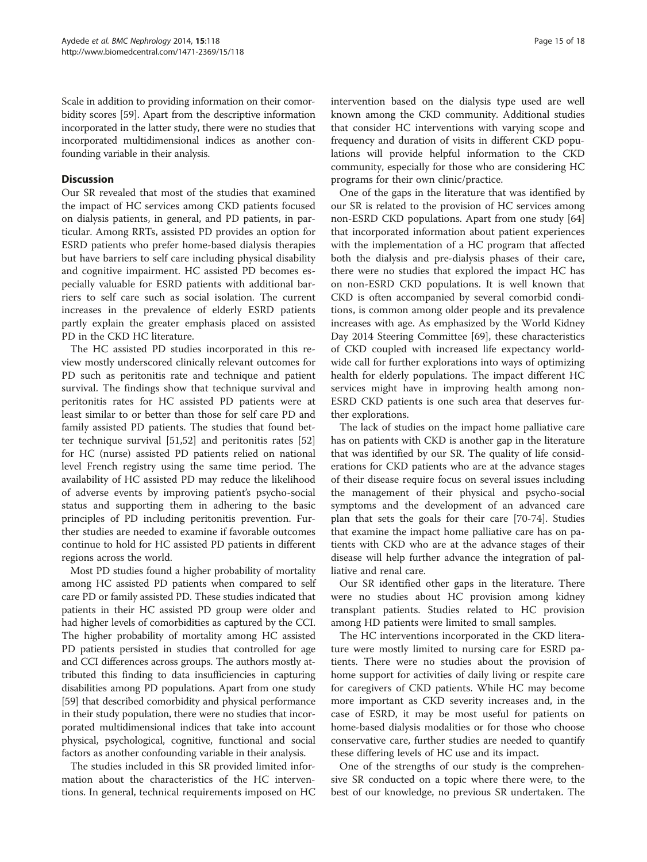Scale in addition to providing information on their comorbidity scores [[59](#page-17-0)]. Apart from the descriptive information incorporated in the latter study, there were no studies that incorporated multidimensional indices as another confounding variable in their analysis.

## **Discussion**

Our SR revealed that most of the studies that examined the impact of HC services among CKD patients focused on dialysis patients, in general, and PD patients, in particular. Among RRTs, assisted PD provides an option for ESRD patients who prefer home-based dialysis therapies but have barriers to self care including physical disability and cognitive impairment. HC assisted PD becomes especially valuable for ESRD patients with additional barriers to self care such as social isolation. The current increases in the prevalence of elderly ESRD patients partly explain the greater emphasis placed on assisted PD in the CKD HC literature.

The HC assisted PD studies incorporated in this review mostly underscored clinically relevant outcomes for PD such as peritonitis rate and technique and patient survival. The findings show that technique survival and peritonitis rates for HC assisted PD patients were at least similar to or better than those for self care PD and family assisted PD patients. The studies that found better technique survival [\[51,52\]](#page-17-0) and peritonitis rates [[52](#page-17-0)] for HC (nurse) assisted PD patients relied on national level French registry using the same time period. The availability of HC assisted PD may reduce the likelihood of adverse events by improving patient's psycho-social status and supporting them in adhering to the basic principles of PD including peritonitis prevention. Further studies are needed to examine if favorable outcomes continue to hold for HC assisted PD patients in different regions across the world.

Most PD studies found a higher probability of mortality among HC assisted PD patients when compared to self care PD or family assisted PD. These studies indicated that patients in their HC assisted PD group were older and had higher levels of comorbidities as captured by the CCI. The higher probability of mortality among HC assisted PD patients persisted in studies that controlled for age and CCI differences across groups. The authors mostly attributed this finding to data insufficiencies in capturing disabilities among PD populations. Apart from one study [[59](#page-17-0)] that described comorbidity and physical performance in their study population, there were no studies that incorporated multidimensional indices that take into account physical, psychological, cognitive, functional and social factors as another confounding variable in their analysis.

The studies included in this SR provided limited information about the characteristics of the HC interventions. In general, technical requirements imposed on HC

intervention based on the dialysis type used are well known among the CKD community. Additional studies that consider HC interventions with varying scope and frequency and duration of visits in different CKD populations will provide helpful information to the CKD community, especially for those who are considering HC programs for their own clinic/practice.

One of the gaps in the literature that was identified by our SR is related to the provision of HC services among non-ESRD CKD populations. Apart from one study [[64](#page-17-0)] that incorporated information about patient experiences with the implementation of a HC program that affected both the dialysis and pre-dialysis phases of their care, there were no studies that explored the impact HC has on non-ESRD CKD populations. It is well known that CKD is often accompanied by several comorbid conditions, is common among older people and its prevalence increases with age. As emphasized by the World Kidney Day 2014 Steering Committee [[69\]](#page-17-0), these characteristics of CKD coupled with increased life expectancy worldwide call for further explorations into ways of optimizing health for elderly populations. The impact different HC services might have in improving health among non-ESRD CKD patients is one such area that deserves further explorations.

The lack of studies on the impact home palliative care has on patients with CKD is another gap in the literature that was identified by our SR. The quality of life considerations for CKD patients who are at the advance stages of their disease require focus on several issues including the management of their physical and psycho-social symptoms and the development of an advanced care plan that sets the goals for their care [[70-74](#page-17-0)]. Studies that examine the impact home palliative care has on patients with CKD who are at the advance stages of their disease will help further advance the integration of palliative and renal care.

Our SR identified other gaps in the literature. There were no studies about HC provision among kidney transplant patients. Studies related to HC provision among HD patients were limited to small samples.

The HC interventions incorporated in the CKD literature were mostly limited to nursing care for ESRD patients. There were no studies about the provision of home support for activities of daily living or respite care for caregivers of CKD patients. While HC may become more important as CKD severity increases and, in the case of ESRD, it may be most useful for patients on home-based dialysis modalities or for those who choose conservative care, further studies are needed to quantify these differing levels of HC use and its impact.

One of the strengths of our study is the comprehensive SR conducted on a topic where there were, to the best of our knowledge, no previous SR undertaken. The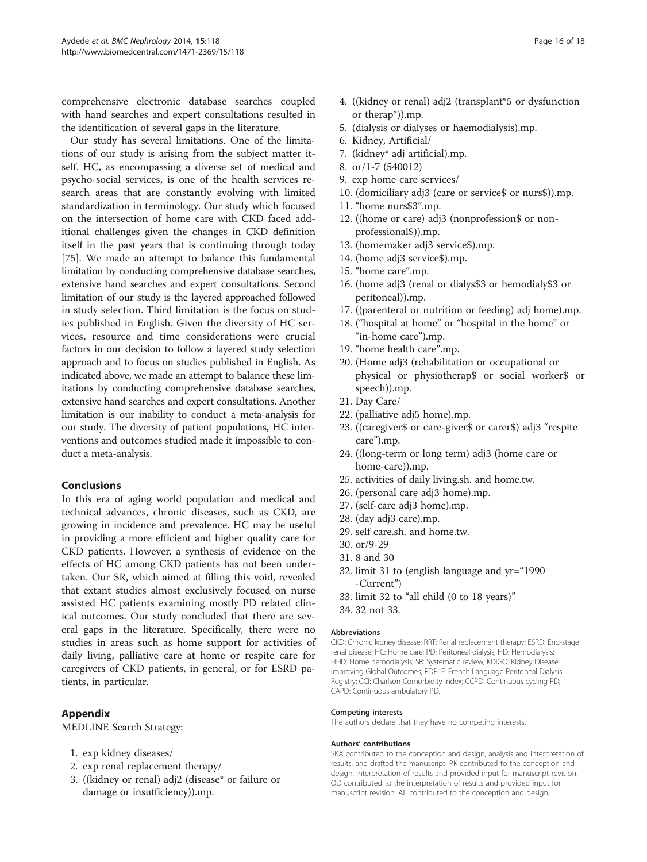<span id="page-15-0"></span>comprehensive electronic database searches coupled with hand searches and expert consultations resulted in the identification of several gaps in the literature.

Our study has several limitations. One of the limitations of our study is arising from the subject matter itself. HC, as encompassing a diverse set of medical and psycho-social services, is one of the health services research areas that are constantly evolving with limited standardization in terminology. Our study which focused on the intersection of home care with CKD faced additional challenges given the changes in CKD definition itself in the past years that is continuing through today [[75\]](#page-17-0). We made an attempt to balance this fundamental limitation by conducting comprehensive database searches, extensive hand searches and expert consultations. Second limitation of our study is the layered approached followed in study selection. Third limitation is the focus on studies published in English. Given the diversity of HC services, resource and time considerations were crucial factors in our decision to follow a layered study selection approach and to focus on studies published in English. As indicated above, we made an attempt to balance these limitations by conducting comprehensive database searches, extensive hand searches and expert consultations. Another limitation is our inability to conduct a meta-analysis for our study. The diversity of patient populations, HC interventions and outcomes studied made it impossible to conduct a meta-analysis.

## Conclusions

In this era of aging world population and medical and technical advances, chronic diseases, such as CKD, are growing in incidence and prevalence. HC may be useful in providing a more efficient and higher quality care for CKD patients. However, a synthesis of evidence on the effects of HC among CKD patients has not been undertaken. Our SR, which aimed at filling this void, revealed that extant studies almost exclusively focused on nurse assisted HC patients examining mostly PD related clinical outcomes. Our study concluded that there are several gaps in the literature. Specifically, there were no studies in areas such as home support for activities of daily living, palliative care at home or respite care for caregivers of CKD patients, in general, or for ESRD patients, in particular.

## Appendix

MEDLINE Search Strategy:

- 1. exp kidney diseases/
- 2. exp renal replacement therapy/
- 3. ((kidney or renal) adj2 (disease\* or failure or damage or insufficiency)).mp.
- 4. ((kidney or renal) adj2 (transplant\*5 or dysfunction or therap\*)).mp.
- 5. (dialysis or dialyses or haemodialysis).mp.
- 6. Kidney, Artificial/
- 7. (kidney\* adj artificial).mp.
- 8. or/1-7 (540012)
- 9. exp home care services/
- 10. (domiciliary adj3 (care or service\$ or nurs\$)).mp.
- 11. "home nurs\$3".mp.
- 12. ((home or care) adj3 (nonprofession\$ or nonprofessional\$)).mp.
- 13. (homemaker adj3 service\$).mp.
- 14. (home adj3 service\$).mp.
- 15. "home care".mp.
- 16. (home adj3 (renal or dialys\$3 or hemodialy\$3 or peritoneal)).mp.
- 17. ((parenteral or nutrition or feeding) adj home).mp.
- 18. ("hospital at home" or "hospital in the home" or "in-home care").mp.
- 19. "home health care".mp.
- 20. (Home adj3 (rehabilitation or occupational or physical or physiotherap\$ or social worker\$ or speech)).mp.
- 21. Day Care/
- 22. (palliative adj5 home).mp.
- 23. ((caregiver\$ or care-giver\$ or carer\$) adj3 "respite care").mp.
- 24. ((long-term or long term) adj3 (home care or home-care)).mp.
- 25. activities of daily living.sh. and home.tw.
- 26. (personal care adj3 home).mp.
- 27. (self-care adj3 home).mp.
- 28. (day adj3 care).mp.
- 29. self care.sh. and home.tw.
- 30. or/9-29
- 31. 8 and 30
- 32. limit 31 to (english language and yr="1990 -Current")
- 33. limit 32 to "all child (0 to 18 years)"
- 34. 32 not 33.

## Abbreviations

CKD: Chronic kidney disease; RRT: Renal replacement therapy; ESRD: End-stage renal disease; HC: Home care; PD: Peritoneal dialysis; HD: Hemodialysis; HHD: Home hemodialysis; SR: Systematic review; KDIGO: Kidney Disease: Improving Global Outcomes; RDPLF: French Language Peritoneal Dialysis Registry; CCI: Charlson Comorbidity Index; CCPD: Continuous cycling PD; CAPD: Continuous ambulatory PD.

#### Competing interests

The authors declare that they have no competing interests.

#### Authors' contributions

SKA contributed to the conception and design, analysis and interpretation of results, and drafted the manuscript. PK contributed to the conception and design, interpretation of results and provided input for manuscript revision. OD contributed to the interpretation of results and provided input for manuscript revision. AL contributed to the conception and design,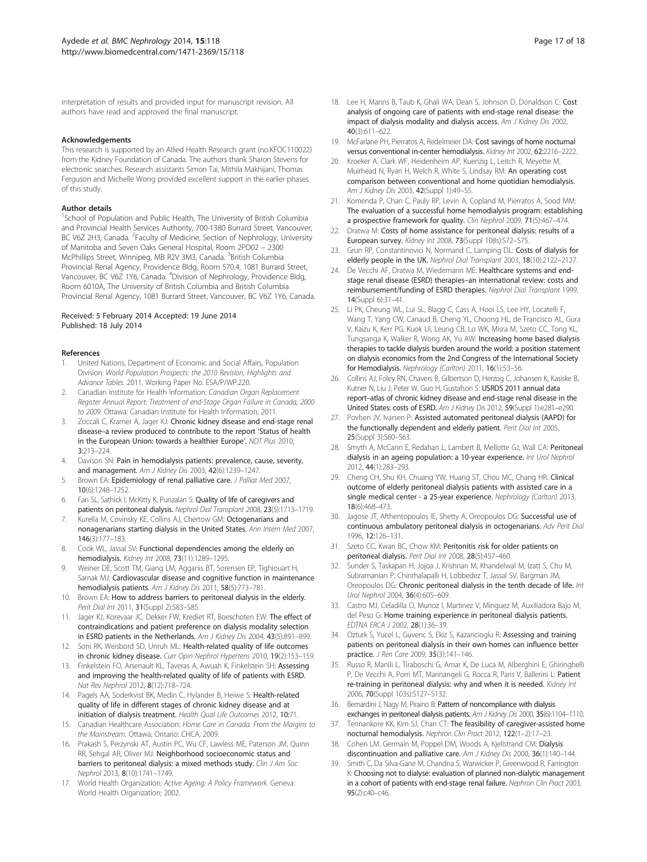<span id="page-16-0"></span>interpretation of results and provided input for manuscript revision. All authors have read and approved the final manuscript.

#### Acknowledgements

This research is supported by an Allied Health Research grant (no.KFOC110022) from the Kidney Foundation of Canada. The authors thank Sharon Stevens for electronic searches. Research assistants Simon Tai, Mithila Makhijani, Thomas Ferguson and Michelle Wong provided excellent support in the earlier phases of this study.

#### Author details

<sup>1</sup>School of Population and Public Health, The University of British Columbia and Provincial Health Services Authority, 700-1380 Burrard Street, Vancouver, BC V6Z 2H3, Canada. <sup>2</sup>Faculty of Medicine, Section of Nephrology, University of Manitoba and Seven Oaks General Hospital, Room 2PD02 – 2300 McPhillips Street, Winnipeg, MB R2V 3M3, Canada. <sup>3</sup>British Columbia Provincial Renal Agency, Providence Bldg, Room 570.4, 1081 Burrard Street, Vancouver, BC V6Z 1Y6, Canada. <sup>4</sup>Division of Nephrology, Providence Bldg, Room 6010A, The University of British Columbia and British Columbia Provincial Renal Agency, 1081 Burrard Street, Vancouver, BC V6Z 1Y6, Canada.

#### Received: 5 February 2014 Accepted: 19 June 2014 Published: 18 July 2014

#### References

- 1. United Nations, Department of Economic and Social Affairs, Population Division: World Population Prospects: the 2010 Revision, Highlights and Advance Tables. 2011. Working Paper No. ESA/P/WP.220.
- 2. Canadian Institute for Health Information: Canadian Organ Replacement Register Annual Report: Treatment of end-Stage Organ Failure in Canada, 2000 to 2009. Ottawa: Canadian Institute for Health Information; 2011.
- Zoccali C, Kramer A, Jager KJ: Chronic kidney disease and end-stage renal disease–a review produced to contribute to the report 'Status of health in the European Union: towards a healthier Europe'. NDT Plus 2010, 3:213–224.
- 4. Davison SN: Pain in hemodialysis patients: prevalence, cause, severity, and management. Am J Kidney Dis 2003, 42(6):1239–1247.
- Brown EA: Epidemiology of renal palliative care. J Palliat Med 2007, 10(6):1248–1252.
- Fan SL, Sathick I, McKitty K, Punzalan S: Quality of life of caregivers and patients on peritoneal dialysis. Nephrol Dial Transplant 2008, 23(5):1713–1719.
- 7. Kurella M, Covinsky KE, Collins AJ, Chertow GM: Octogenarians and nonagenarians starting dialysis in the United States. Ann Intern Med 2007, 146(3):177–183.
- 8. Cook WL, Jassal SV: Functional dependencies among the elderly on hemodialysis. Kidney Int 2008, 73(11):1289–1295.
- 9. Weiner DE, Scott TM, Giang LM, Agganis BT, Sorensen EP, Tighiouart H, Sarnak MJ: Cardiovascular disease and cognitive function in maintenance hemodialysis patients. Am J Kidney Dis 2011, 58(5):773-781.
- 10. Brown EA: How to address barriers to peritoneal dialysis in the elderly. Perit Dial Int 2011, 31(Suppl 2):S83-S85.
- 11. Jager KJ, Korevaar JC, Dekker FW, Krediet RT, Boeschoten EW: The effect of contraindications and patient preference on dialysis modality selection in ESRD patients in the Netherlands. Am J Kidney Dis 2004, 43(5):891–899.
- 12. Soni RK, Weisbord SD, Unruh ML: Health-related quality of life outcomes in chronic kidney disease. Curr Opin Nephrol Hypertens 2010, 19(2):153–159.
- 13. Finkelstein FO, Arsenault KL, Taveras A, Awuah K, Finkelstein SH: Assessing and improving the health-related quality of life of patients with ESRD. Nat Rev Nephrol 2012, 8(12):718–724.
- 14. Pagels AA, Soderkvist BK, Medin C, Hylander B, Heiwe S: Health-related quality of life in different stages of chronic kidney disease and at initiation of dialysis treatment. Health Qual Life Outcomes 2012, 10:71.
- 15. Canadian Healthcare Association: Home Care in Canada: From the Margins to the Mainstream. Ottawa, Ontario: CHCA; 2009.
- 16. Prakash S, Perzynski AT, Austin PC, Wu CF, Lawless ME, Paterson JM, Quinn RR, Sehgal AR, Oliver MJ: Neighborhood socioeconomic status and barriers to peritoneal dialysis: a mixed methods study. Clin J Am Soc Nephrol 2013, 8(10):1741–1749.
- 17. World Health Organization: Active Ageing: A Policy Framework. Geneva: World Health Organization; 2002.
- 18. Lee H, Manns B, Taub K, Ghali WA, Dean S, Johnson D, Donaldson C: Cost analysis of ongoing care of patients with end-stage renal disease: the impact of dialysis modality and dialysis access. Am J Kidney Dis 2002, 40(3):611–622.
- 19. McFarlane PH, Pierratos A, Redelmeier DA: Cost savings of home nocturnal versus conventional in-center hemodialysis. Kidney Int 2002, 62:2216–2222.
- 20. Kroeker A, Clark WF, Heidenheim AP, Kuenzig L, Leitch R, Meyette M, Muirhead N, Ryan H, Welch R, White S, Lindsay RM: An operating cost comparison between conventional and home quotidian hemodialysis. Am J Kidney Dis 2003, 42(Suppl 1):49–55.
- 21. Komenda P, Chan C, Pauly RP, Levin A, Copland M, Pierratos A, Sood MM: The evaluation of a successful home hemodialysis program: establishing a prospective framework for quality. Clin Nephrol 2009, 71(5):467–474.
- 22. Dratwa M: Costs of home assistance for peritoneal dialysis: results of a European survey. Kidney Int 2008, 73(Suppl 108s):S72–S75.
- 23. Grun RP, Constantinovici N, Normand C, Lamping DL: Costs of dialysis for elderly people in the UK. Nephrol Dial Transplant 2003, 18(10):2122–2127.
- 24. De Vecchi AF, Dratwa M, Wiedemann ME: Healthcare systems and endstage renal disease (ESRD) therapies–an international review: costs and reimbursement/funding of ESRD therapies. Nephrol Dial Transplant 1999, 14(Suppl 6):31–41.
- 25. Li PK, Cheung WL, Lui SL, Blagg C, Cass A, Hooi LS, Lee HY, Locatelli F, Wang T, Yang CW, Canaud B, Cheng YL, Choong HL, de Francisco AL, Gura V, Kaizu K, Kerr PG, Kuok UI, Leung CB, Lo WK, Misra M, Szeto CC, Tong KL, Tungsanga K, Walker R, Wong AK, Yu AW: Increasing home based dialysis therapies to tackle dialysis burden around the world: a position statement on dialysis economics from the 2nd Congress of the International Society for Hemodialysis. Nephrology (Carlton) 2011, 16(1):53–56.
- 26. Collins AJ, Foley RN, Chavers B, Gilbertson D, Herzog C, Johansen K, Kasiske B, Kutner N, Liu J, Peter W, Guo H, Gustafson S: USRDS 2011 annual data report–atlas of chronic kidney disease and end-stage renal disease in the United States: costs of ESRD. Am J Kidney Dis 2012, 59(Suppl 1):e281–e290.
- 27. Povlsen JV, Ivarsen P: Assisted automated peritoneal dialysis (AAPD) for the functionally dependent and elderly patient. Perit Dial Int 2005, 25(Suppl 3):S60–S63.
- 28. Smyth A, McCann E, Redahan L, Lambert B, Mellotte GJ, Wall CA: Peritoneal dialysis in an ageing population: a 10-year experience. Int Urol Nephrol 2012, 44(1):283–293.
- 29. Cheng CH, Shu KH, Chuang YW, Huang ST, Chou MC, Chang HR: Clinical outcome of elderly peritoneal dialysis patients with assisted care in a single medical center - a 25-year experience. Nephrology (Carlton) 2013, 18(6):468–473.
- 30. Jagose JT, Afthentopoulos IE, Shetty A, Oreopoulos DG: Successful use of continuous ambulatory peritoneal dialysis in octogenarians. Adv Perit Dial 1996, 12:126–131.
- 31. Szeto CC, Kwan BC, Chow KM: Peritonitis risk for older patients on peritoneal dialysis. Perit Dial Int 2008, 28(5):457-460.
- 32. Sunder S, Taskapan H, Jojoa J, Krishnan M, Khandelwal M, Izatt S, Chu M, Subramanian P, Chinthalapalli H, Lobbedez T, Jassal SV, Bargman JM, Oreopoulos DG: Chronic peritoneal dialysis in the tenth decade of life. Int Urol Nephrol 2004, 36(4):605–609.
- 33. Castro MJ, Celadilla O, Munoz I, Martinez V, Minguez M, Auxiliadora Bajo M, del Peso G: Home training experience in peritoneal dialysis patients. EDTNA ERCA J 2002, 28(1):36–39.
- 34. Ozturk S, Yucel L, Guvenc S, Ekiz S, Kazancioglu R: Assessing and training patients on peritoneal dialysis in their own homes can influence better practice. J Ren Care 2009, 35(3):141–146.
- 35. Russo R, Manili L, Tiraboschi G, Amar K, De Luca M, Alberghini E, Ghiringhelli P, De Vecchi A, Porri MT, Marinangeli G, Rocca R, Paris V, Ballerini L: Patient re-training in peritoneal dialysis: why and when it is needed. Kidney Int 2006, 70(Suppl 103s):S127–S132.
- 36. Bernardini J, Nagy M, Piraino B: Pattern of noncompliance with dialysis exchanges in peritoneal dialysis patients. Am J Kidney Dis 2000, 35(6):1104-1110.
- 37. Tennankore KK, Kim SJ, Chan CT: The feasibility of caregiver-assisted home nocturnal hemodialysis. Nephron Clin Pract 2012, 122(1–2):17–23.
- 38. Cohen LM, Germain M, Poppel DM, Woods A, Kjellstrand CM: Dialysis discontinuation and palliative care. Am J Kidney Dis 2000, 36(1):140-144.
- 39. Smith C, Da Silva-Gane M, Chandna S, Warwicker P, Greenwood R, Farrington K: Choosing not to dialyse: evaluation of planned non-dialytic management in a cohort of patients with end-stage renal failure. Nephron Clin Pract 2003, 95(2):c40–c46.